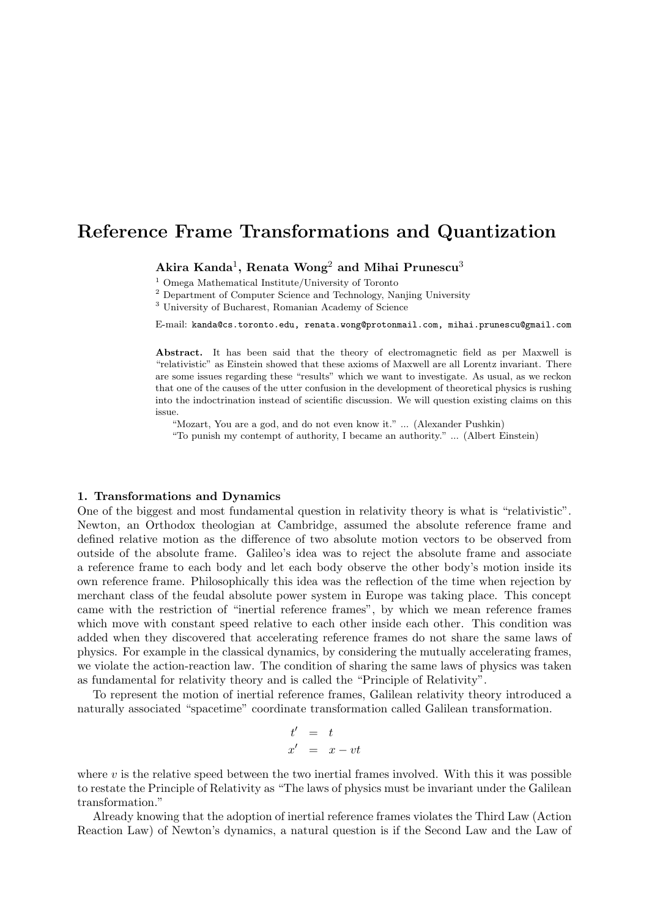# Reference Frame Transformations and Quantization

Akira Kanda<sup>1</sup>, Renata Wong<sup>2</sup> and Mihai Prunescu<sup>3</sup>

<sup>1</sup> Omega Mathematical Institute/University of Toronto

<sup>2</sup> Department of Computer Science and Technology, Nanjing University

<sup>3</sup> University of Bucharest, Romanian Academy of Science

E-mail: kanda@cs.toronto.edu, renata.wong@protonmail.com, mihai.prunescu@gmail.com

Abstract. It has been said that the theory of electromagnetic field as per Maxwell is "relativistic" as Einstein showed that these axioms of Maxwell are all Lorentz invariant. There are some issues regarding these "results" which we want to investigate. As usual, as we reckon that one of the causes of the utter confusion in the development of theoretical physics is rushing into the indoctrination instead of scientific discussion. We will question existing claims on this issue.

"Mozart, You are a god, and do not even know it." ... (Alexander Pushkin)

"To punish my contempt of authority, I became an authority." ... (Albert Einstein)

# 1. Transformations and Dynamics

One of the biggest and most fundamental question in relativity theory is what is "relativistic". Newton, an Orthodox theologian at Cambridge, assumed the absolute reference frame and defined relative motion as the difference of two absolute motion vectors to be observed from outside of the absolute frame. Galileo's idea was to reject the absolute frame and associate a reference frame to each body and let each body observe the other body's motion inside its own reference frame. Philosophically this idea was the reflection of the time when rejection by merchant class of the feudal absolute power system in Europe was taking place. This concept came with the restriction of "inertial reference frames", by which we mean reference frames which move with constant speed relative to each other inside each other. This condition was added when they discovered that accelerating reference frames do not share the same laws of physics. For example in the classical dynamics, by considering the mutually accelerating frames, we violate the action-reaction law. The condition of sharing the same laws of physics was taken as fundamental for relativity theory and is called the "Principle of Relativity".

To represent the motion of inertial reference frames, Galilean relativity theory introduced a naturally associated "spacetime" coordinate transformation called Galilean transformation.

$$
\begin{array}{rcl}\nt' & = & t \\
x' & = & x - vt\n\end{array}
$$

where  $v$  is the relative speed between the two inertial frames involved. With this it was possible to restate the Principle of Relativity as "The laws of physics must be invariant under the Galilean transformation."

Already knowing that the adoption of inertial reference frames violates the Third Law (Action Reaction Law) of Newton's dynamics, a natural question is if the Second Law and the Law of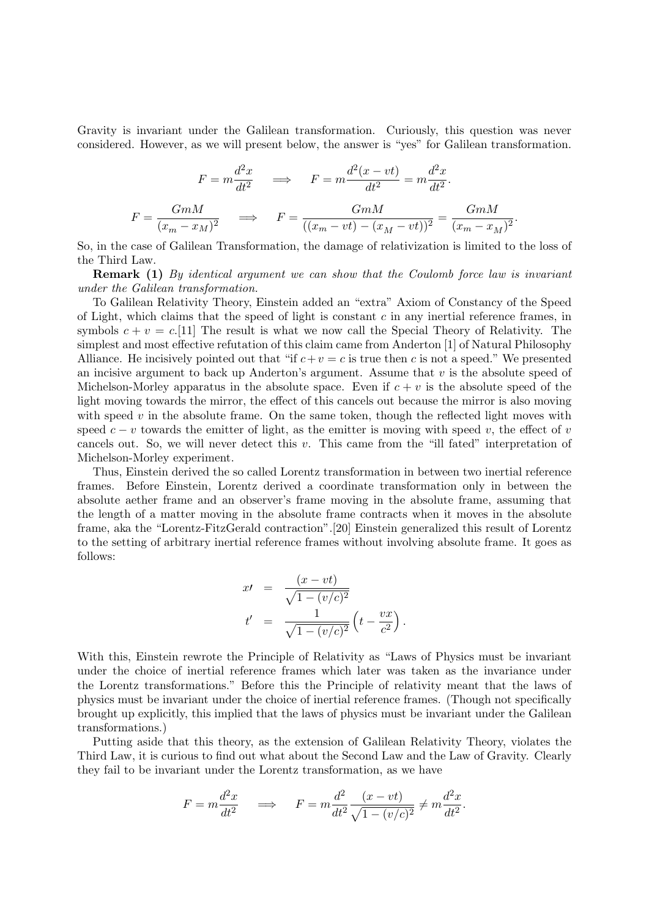Gravity is invariant under the Galilean transformation. Curiously, this question was never considered. However, as we will present below, the answer is "yes" for Galilean transformation.

$$
F = m \frac{d^2 x}{dt^2} \qquad \Longrightarrow \qquad F = m \frac{d^2 (x - vt)}{dt^2} = m \frac{d^2 x}{dt^2}.
$$

$$
F = \frac{GmM}{(x_m - x_M)^2} \qquad \Longrightarrow \qquad F = \frac{GmM}{((x_m - vt) - (x_M - vt))^2} = \frac{GmM}{(x_m - x_M)^2}.
$$

So, in the case of Galilean Transformation, the damage of relativization is limited to the loss of the Third Law.

**Remark (1)** By identical argument we can show that the Coulomb force law is invariant under the Galilean transformation.

To Galilean Relativity Theory, Einstein added an "extra" Axiom of Constancy of the Speed of Light, which claims that the speed of light is constant  $c$  in any inertial reference frames, in symbols  $c + v = c$ . [11] The result is what we now call the Special Theory of Relativity. The simplest and most effective refutation of this claim came from Anderton [1] of Natural Philosophy Alliance. He incisively pointed out that "if  $c+v = c$  is true then c is not a speed." We presented an incisive argument to back up Anderton's argument. Assume that  $v$  is the absolute speed of Michelson-Morley apparatus in the absolute space. Even if  $c + v$  is the absolute speed of the light moving towards the mirror, the effect of this cancels out because the mirror is also moving with speed  $v$  in the absolute frame. On the same token, though the reflected light moves with speed  $c - v$  towards the emitter of light, as the emitter is moving with speed v, the effect of v cancels out. So, we will never detect this  $v$ . This came from the "ill fated" interpretation of Michelson-Morley experiment.

Thus, Einstein derived the so called Lorentz transformation in between two inertial reference frames. Before Einstein, Lorentz derived a coordinate transformation only in between the absolute aether frame and an observer's frame moving in the absolute frame, assuming that the length of a matter moving in the absolute frame contracts when it moves in the absolute frame, aka the "Lorentz-FitzGerald contraction".[20] Einstein generalized this result of Lorentz to the setting of arbitrary inertial reference frames without involving absolute frame. It goes as follows:

$$
x' = \frac{(x - vt)}{\sqrt{1 - (v/c)^2}}
$$
  

$$
t' = \frac{1}{\sqrt{1 - (v/c)^2}} \left( t - \frac{vx}{c^2} \right)
$$

.

With this, Einstein rewrote the Principle of Relativity as "Laws of Physics must be invariant under the choice of inertial reference frames which later was taken as the invariance under the Lorentz transformations." Before this the Principle of relativity meant that the laws of physics must be invariant under the choice of inertial reference frames. (Though not specifically brought up explicitly, this implied that the laws of physics must be invariant under the Galilean transformations.)

Putting aside that this theory, as the extension of Galilean Relativity Theory, violates the Third Law, it is curious to find out what about the Second Law and the Law of Gravity. Clearly they fail to be invariant under the Lorentz transformation, as we have

$$
F = m \frac{d^2x}{dt^2} \quad \implies \quad F = m \frac{d^2}{dt^2} \frac{(x - vt)}{\sqrt{1 - (v/c)^2}} \neq m \frac{d^2x}{dt^2}.
$$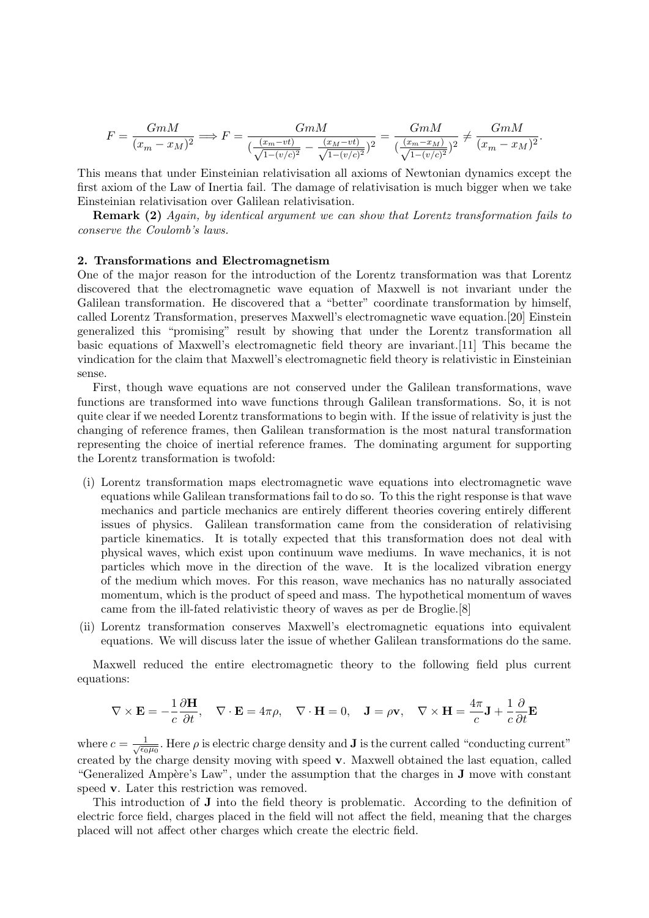$$
F = \frac{GmM}{(x_m - x_M)^2} \Longrightarrow F = \frac{GmM}{(\frac{(x_m - vt)}{\sqrt{1 - (v/c)^2}} - \frac{(x_M - vt)}{\sqrt{1 - (v/c)^2}})^2} = \frac{GmM}{(\frac{(x_m - x_M)}{\sqrt{1 - (v/c)^2}})^2} \neq \frac{GmM}{(x_m - x_M)^2}.
$$

This means that under Einsteinian relativisation all axioms of Newtonian dynamics except the first axiom of the Law of Inertia fail. The damage of relativisation is much bigger when we take Einsteinian relativisation over Galilean relativisation.

**Remark (2)** Again, by identical argument we can show that Lorentz transformation fails to conserve the Coulomb's laws.

# 2. Transformations and Electromagnetism

One of the major reason for the introduction of the Lorentz transformation was that Lorentz discovered that the electromagnetic wave equation of Maxwell is not invariant under the Galilean transformation. He discovered that a "better" coordinate transformation by himself, called Lorentz Transformation, preserves Maxwell's electromagnetic wave equation.[20] Einstein generalized this "promising" result by showing that under the Lorentz transformation all basic equations of Maxwell's electromagnetic field theory are invariant.[11] This became the vindication for the claim that Maxwell's electromagnetic field theory is relativistic in Einsteinian sense.

First, though wave equations are not conserved under the Galilean transformations, wave functions are transformed into wave functions through Galilean transformations. So, it is not quite clear if we needed Lorentz transformations to begin with. If the issue of relativity is just the changing of reference frames, then Galilean transformation is the most natural transformation representing the choice of inertial reference frames. The dominating argument for supporting the Lorentz transformation is twofold:

- (i) Lorentz transformation maps electromagnetic wave equations into electromagnetic wave equations while Galilean transformations fail to do so. To this the right response is that wave mechanics and particle mechanics are entirely different theories covering entirely different issues of physics. Galilean transformation came from the consideration of relativising particle kinematics. It is totally expected that this transformation does not deal with physical waves, which exist upon continuum wave mediums. In wave mechanics, it is not particles which move in the direction of the wave. It is the localized vibration energy of the medium which moves. For this reason, wave mechanics has no naturally associated momentum, which is the product of speed and mass. The hypothetical momentum of waves came from the ill-fated relativistic theory of waves as per de Broglie.[8]
- (ii) Lorentz transformation conserves Maxwell's electromagnetic equations into equivalent equations. We will discuss later the issue of whether Galilean transformations do the same.

Maxwell reduced the entire electromagnetic theory to the following field plus current equations:

$$
\nabla \times \mathbf{E} = -\frac{1}{c} \frac{\partial \mathbf{H}}{\partial t}, \quad \nabla \cdot \mathbf{E} = 4\pi \rho, \quad \nabla \cdot \mathbf{H} = 0, \quad \mathbf{J} = \rho \mathbf{v}, \quad \nabla \times \mathbf{H} = \frac{4\pi}{c} \mathbf{J} + \frac{1}{c} \frac{\partial}{\partial t} \mathbf{E}
$$

where  $c = \frac{1}{\sqrt{\epsilon_0}}$  $\frac{1}{\epsilon_0\mu_0}$ . Here  $\rho$  is electric charge density and **J** is the current called "conducting current" created by the charge density moving with speed v. Maxwell obtained the last equation, called "Generalized Ampère's Law", under the assumption that the charges in  $J$  move with constant speed **v**. Later this restriction was removed.

This introduction of J into the field theory is problematic. According to the definition of electric force field, charges placed in the field will not affect the field, meaning that the charges placed will not affect other charges which create the electric field.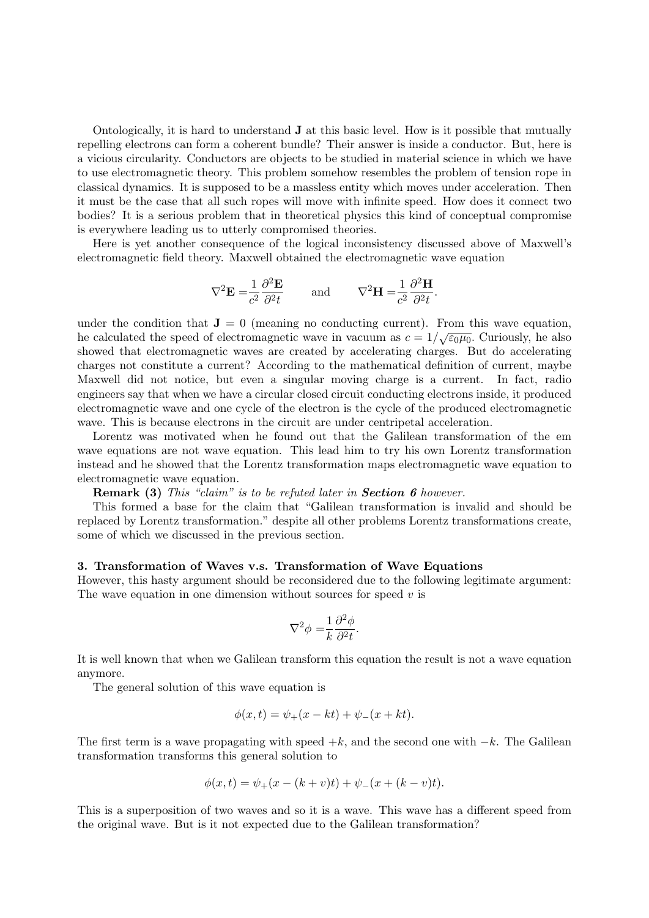Ontologically, it is hard to understand  $J$  at this basic level. How is it possible that mutually repelling electrons can form a coherent bundle? Their answer is inside a conductor. But, here is a vicious circularity. Conductors are objects to be studied in material science in which we have to use electromagnetic theory. This problem somehow resembles the problem of tension rope in classical dynamics. It is supposed to be a massless entity which moves under acceleration. Then it must be the case that all such ropes will move with infinite speed. How does it connect two bodies? It is a serious problem that in theoretical physics this kind of conceptual compromise is everywhere leading us to utterly compromised theories.

Here is yet another consequence of the logical inconsistency discussed above of Maxwell's electromagnetic field theory. Maxwell obtained the electromagnetic wave equation

$$
\nabla^2 \mathbf{E} = \frac{1}{c^2} \frac{\partial^2 \mathbf{E}}{\partial^2 t} \quad \text{and} \quad \nabla^2 \mathbf{H} = \frac{1}{c^2} \frac{\partial^2 \mathbf{H}}{\partial^2 t}.
$$

under the condition that  $J = 0$  (meaning no conducting current). From this wave equation, the calculated the speed of electromagnetic wave in vacuum as  $c = 1/\sqrt{\epsilon_0\mu_0}$ . Curiously, he also showed that electromagnetic waves are created by accelerating charges. But do accelerating charges not constitute a current? According to the mathematical definition of current, maybe Maxwell did not notice, but even a singular moving charge is a current. In fact, radio engineers say that when we have a circular closed circuit conducting electrons inside, it produced electromagnetic wave and one cycle of the electron is the cycle of the produced electromagnetic wave. This is because electrons in the circuit are under centripetal acceleration.

Lorentz was motivated when he found out that the Galilean transformation of the em wave equations are not wave equation. This lead him to try his own Lorentz transformation instead and he showed that the Lorentz transformation maps electromagnetic wave equation to electromagnetic wave equation.

Remark (3) This "claim" is to be refuted later in Section 6 however.

This formed a base for the claim that "Galilean transformation is invalid and should be replaced by Lorentz transformation." despite all other problems Lorentz transformations create, some of which we discussed in the previous section.

# 3. Transformation of Waves v.s. Transformation of Wave Equations

However, this hasty argument should be reconsidered due to the following legitimate argument: The wave equation in one dimension without sources for speed  $v$  is

$$
\nabla^2 \phi = \frac{1}{k} \frac{\partial^2 \phi}{\partial^2 t}.
$$

It is well known that when we Galilean transform this equation the result is not a wave equation anymore.

The general solution of this wave equation is

$$
\phi(x,t) = \psi_{+}(x - kt) + \psi_{-}(x + kt).
$$

The first term is a wave propagating with speed  $+k$ , and the second one with  $-k$ . The Galilean transformation transforms this general solution to

$$
\phi(x,t) = \psi_+(x - (k+v)t) + \psi_-(x + (k-v)t).
$$

This is a superposition of two waves and so it is a wave. This wave has a different speed from the original wave. But is it not expected due to the Galilean transformation?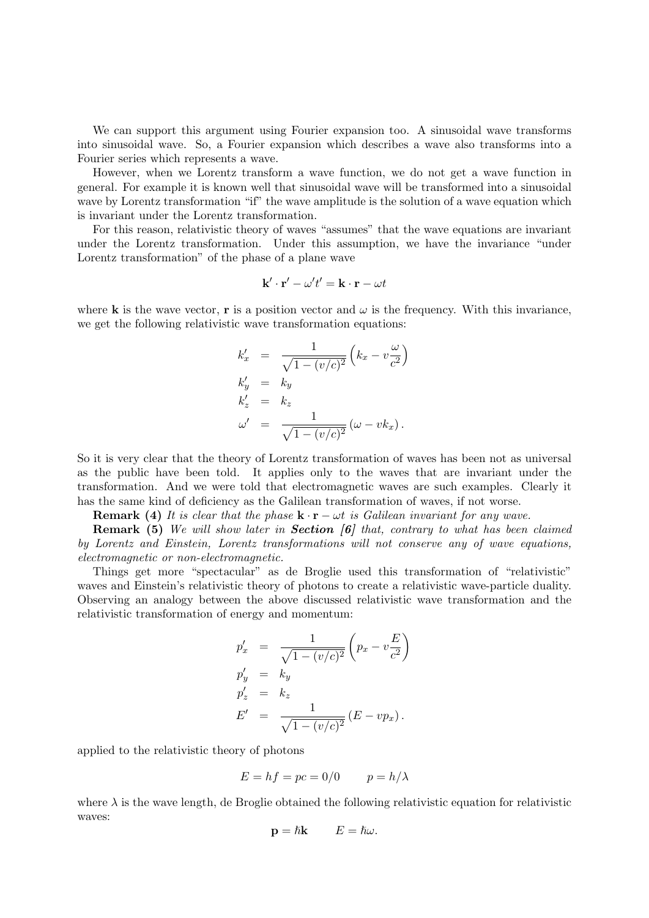We can support this argument using Fourier expansion too. A sinusoidal wave transforms into sinusoidal wave. So, a Fourier expansion which describes a wave also transforms into a Fourier series which represents a wave.

However, when we Lorentz transform a wave function, we do not get a wave function in general. For example it is known well that sinusoidal wave will be transformed into a sinusoidal wave by Lorentz transformation "if" the wave amplitude is the solution of a wave equation which is invariant under the Lorentz transformation.

For this reason, relativistic theory of waves "assumes" that the wave equations are invariant under the Lorentz transformation. Under this assumption, we have the invariance "under Lorentz transformation" of the phase of a plane wave

$$
\mathbf{k}'\cdot\mathbf{r}'-\omega't'=\mathbf{k}\cdot\mathbf{r}-\omega t
$$

where **k** is the wave vector, **r** is a position vector and  $\omega$  is the frequency. With this invariance, we get the following relativistic wave transformation equations:

$$
k'_x = \frac{1}{\sqrt{1 - (v/c)^2}} (k_x - v\frac{\omega}{c^2})
$$
  
\n
$$
k'_y = k_y
$$
  
\n
$$
k'_z = k_z
$$
  
\n
$$
\omega' = \frac{1}{\sqrt{1 - (v/c)^2}} (\omega - v k_x).
$$

So it is very clear that the theory of Lorentz transformation of waves has been not as universal as the public have been told. It applies only to the waves that are invariant under the transformation. And we were told that electromagnetic waves are such examples. Clearly it has the same kind of deficiency as the Galilean transformation of waves, if not worse.

**Remark (4)** It is clear that the phase  $\mathbf{k} \cdot \mathbf{r} - \omega t$  is Galilean invariant for any wave.

**Remark (5)** We will show later in **Section [6]** that, contrary to what has been claimed by Lorentz and Einstein, Lorentz transformations will not conserve any of wave equations, electromagnetic or non-electromagnetic.

Things get more "spectacular" as de Broglie used this transformation of "relativistic" waves and Einstein's relativistic theory of photons to create a relativistic wave-particle duality. Observing an analogy between the above discussed relativistic wave transformation and the relativistic transformation of energy and momentum:

$$
p'_x = \frac{1}{\sqrt{1 - (v/c)^2}} \left( p_x - v \frac{E}{c^2} \right)
$$
  
\n
$$
p'_y = k_y
$$
  
\n
$$
p'_z = k_z
$$
  
\n
$$
E' = \frac{1}{\sqrt{1 - (v/c)^2}} (E - vp_x).
$$

applied to the relativistic theory of photons

$$
E = hf = pc = 0/0 \qquad p = h/\lambda
$$

where  $\lambda$  is the wave length, de Broglie obtained the following relativistic equation for relativistic waves:

$$
\mathbf{p} = \hbar \mathbf{k} \qquad E = \hbar \omega.
$$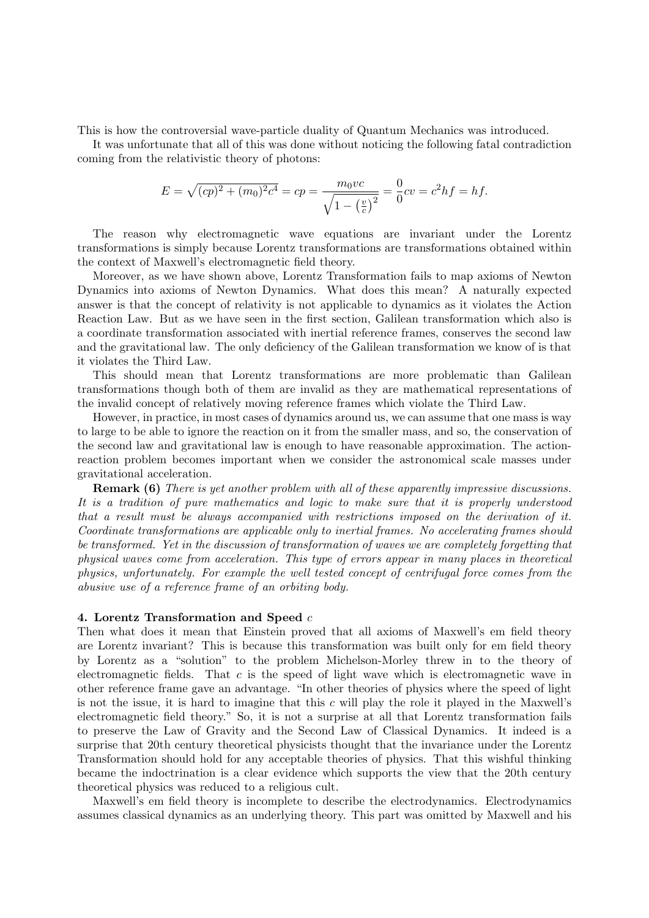This is how the controversial wave-particle duality of Quantum Mechanics was introduced.

It was unfortunate that all of this was done without noticing the following fatal contradiction coming from the relativistic theory of photons:

$$
E = \sqrt{(cp)^2 + (m_0)^2 c^4} = cp = \frac{m_0 vc}{\sqrt{1 - \left(\frac{v}{c}\right)^2}} = \frac{0}{0} cv = c^2 hf = hf.
$$

The reason why electromagnetic wave equations are invariant under the Lorentz transformations is simply because Lorentz transformations are transformations obtained within the context of Maxwell's electromagnetic field theory.

Moreover, as we have shown above, Lorentz Transformation fails to map axioms of Newton Dynamics into axioms of Newton Dynamics. What does this mean? A naturally expected answer is that the concept of relativity is not applicable to dynamics as it violates the Action Reaction Law. But as we have seen in the first section, Galilean transformation which also is a coordinate transformation associated with inertial reference frames, conserves the second law and the gravitational law. The only deficiency of the Galilean transformation we know of is that it violates the Third Law.

This should mean that Lorentz transformations are more problematic than Galilean transformations though both of them are invalid as they are mathematical representations of the invalid concept of relatively moving reference frames which violate the Third Law.

However, in practice, in most cases of dynamics around us, we can assume that one mass is way to large to be able to ignore the reaction on it from the smaller mass, and so, the conservation of the second law and gravitational law is enough to have reasonable approximation. The actionreaction problem becomes important when we consider the astronomical scale masses under gravitational acceleration.

**Remark (6)** There is yet another problem with all of these apparently impressive discussions. It is a tradition of pure mathematics and logic to make sure that it is properly understood that a result must be always accompanied with restrictions imposed on the derivation of it. Coordinate transformations are applicable only to inertial frames. No accelerating frames should be transformed. Yet in the discussion of transformation of waves we are completely forgetting that physical waves come from acceleration. This type of errors appear in many places in theoretical physics, unfortunately. For example the well tested concept of centrifugal force comes from the abusive use of a reference frame of an orbiting body.

# 4. Lorentz Transformation and Speed c

Then what does it mean that Einstein proved that all axioms of Maxwell's em field theory are Lorentz invariant? This is because this transformation was built only for em field theory by Lorentz as a "solution" to the problem Michelson-Morley threw in to the theory of electromagnetic fields. That  $c$  is the speed of light wave which is electromagnetic wave in other reference frame gave an advantage. "In other theories of physics where the speed of light is not the issue, it is hard to imagine that this  $c$  will play the role it played in the Maxwell's electromagnetic field theory." So, it is not a surprise at all that Lorentz transformation fails to preserve the Law of Gravity and the Second Law of Classical Dynamics. It indeed is a surprise that 20th century theoretical physicists thought that the invariance under the Lorentz Transformation should hold for any acceptable theories of physics. That this wishful thinking became the indoctrination is a clear evidence which supports the view that the 20th century theoretical physics was reduced to a religious cult.

Maxwell's em field theory is incomplete to describe the electrodynamics. Electrodynamics assumes classical dynamics as an underlying theory. This part was omitted by Maxwell and his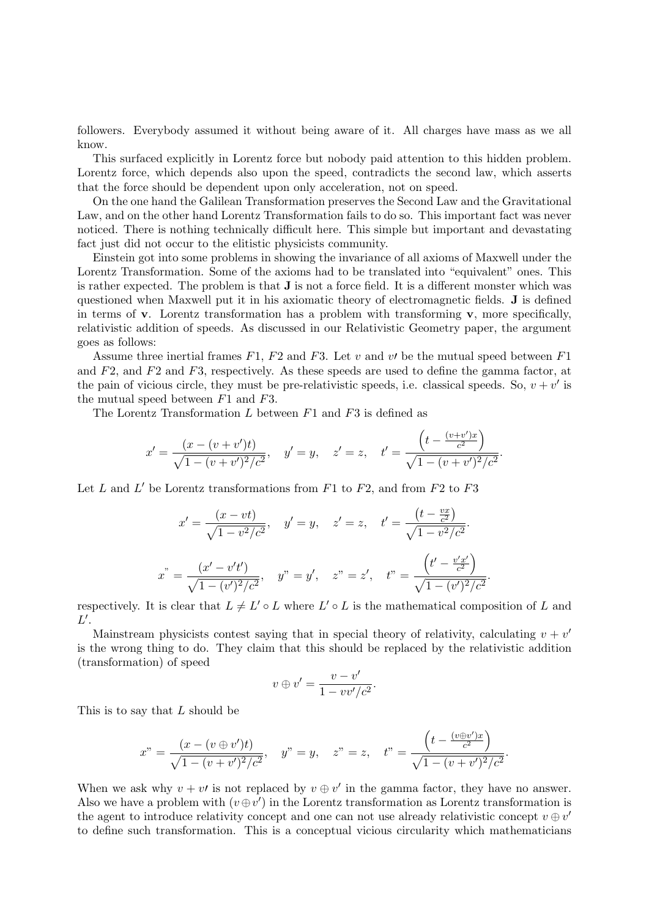followers. Everybody assumed it without being aware of it. All charges have mass as we all know.

This surfaced explicitly in Lorentz force but nobody paid attention to this hidden problem. Lorentz force, which depends also upon the speed, contradicts the second law, which asserts that the force should be dependent upon only acceleration, not on speed.

On the one hand the Galilean Transformation preserves the Second Law and the Gravitational Law, and on the other hand Lorentz Transformation fails to do so. This important fact was never noticed. There is nothing technically difficult here. This simple but important and devastating fact just did not occur to the elitistic physicists community.

Einstein got into some problems in showing the invariance of all axioms of Maxwell under the Lorentz Transformation. Some of the axioms had to be translated into "equivalent" ones. This is rather expected. The problem is that J is not a force field. It is a different monster which was questioned when Maxwell put it in his axiomatic theory of electromagnetic fields. J is defined in terms of **v**. Lorentz transformation has a problem with transforming **v**, more specifically, relativistic addition of speeds. As discussed in our Relativistic Geometry paper, the argument goes as follows:

Assume three inertial frames  $F1$ ,  $F2$  and  $F3$ . Let v and v be the mutual speed between  $F1$ and  $F2$ , and  $F3$ , respectively. As these speeds are used to define the gamma factor, at the pain of vicious circle, they must be pre-relativistic speeds, i.e. classical speeds. So,  $v + v'$  is the mutual speed between  $F1$  and  $F3$ .

The Lorentz Transformation L between  $F1$  and  $F3$  is defined as

$$
x' = \frac{(x - (v + v')t)}{\sqrt{1 - (v + v')^2/c^2}}, \quad y' = y, \quad z' = z, \quad t' = \frac{\left(t - \frac{(v + v')x}{c^2}\right)}{\sqrt{1 - (v + v')^2/c^2}}.
$$

Let L and L' be Lorentz transformations from  $F1$  to  $F2$ , and from  $F2$  to  $F3$ 

$$
x' = \frac{(x - vt)}{\sqrt{1 - v^2/c^2}}, \quad y' = y, \quad z' = z, \quad t' = \frac{\left(t - \frac{vx}{c^2}\right)}{\sqrt{1 - v^2/c^2}}.
$$

$$
x^{"} = \frac{\left(x' - v't'\right)}{\sqrt{1 - (v')^2/c^2}}, \quad y^{"} = y', \quad z^{"} = z', \quad t^{"} = \frac{\left(t' - \frac{v'x'}{c^2}\right)}{\sqrt{1 - (v')^2/c^2}}.
$$

respectively. It is clear that  $L \neq L' \circ L$  where  $L' \circ L$  is the mathematical composition of L and  $L'.$ 

Mainstream physicists contest saying that in special theory of relativity, calculating  $v + v'$ is the wrong thing to do. They claim that this should be replaced by the relativistic addition (transformation) of speed

$$
v \oplus v' = \frac{v - v'}{1 - vv'/c^2}.
$$

This is to say that L should be

$$
x" = \frac{(x - (v \oplus v')t)}{\sqrt{1 - (v + v')^2/c^2}}, \quad y" = y, \quad z" = z, \quad t" = \frac{\left(t - \frac{(v \oplus v')x}{c^2}\right)}{\sqrt{1 - (v + v')^2/c^2}}.
$$

When we ask why  $v + v'$  is not replaced by  $v \oplus v'$  in the gamma factor, they have no answer. Also we have a problem with  $(v \oplus v')$  in the Lorentz transformation as Lorentz transformation is the agent to introduce relativity concept and one can not use already relativistic concept  $v \oplus v'$ to define such transformation. This is a conceptual vicious circularity which mathematicians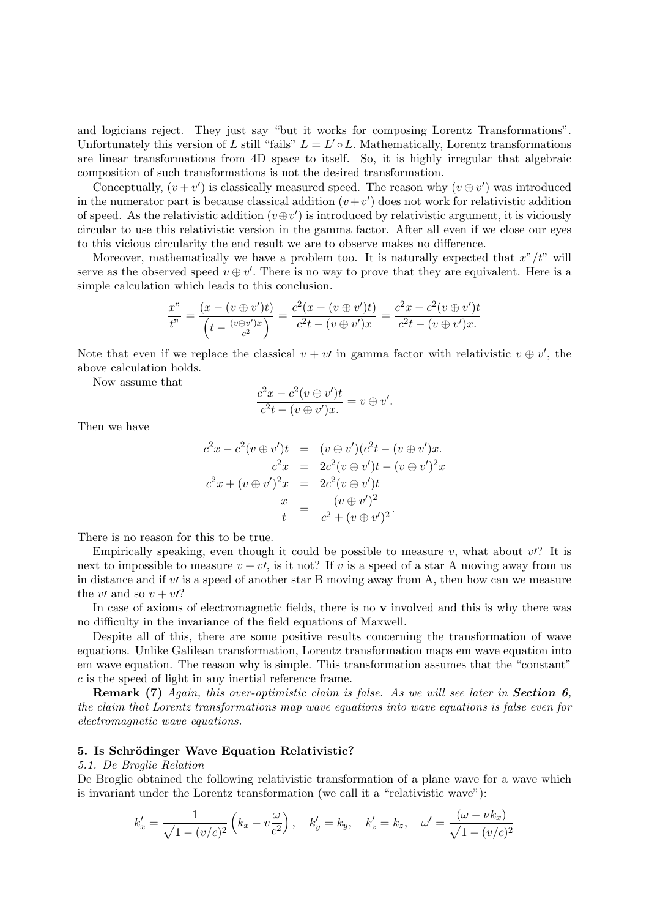and logicians reject. They just say "but it works for composing Lorentz Transformations". Unfortunately this version of L still "fails"  $L = L' \circ L$ . Mathematically, Lorentz transformations are linear transformations from 4D space to itself. So, it is highly irregular that algebraic composition of such transformations is not the desired transformation.

Conceptually,  $(v + v')$  is classically measured speed. The reason why  $(v \oplus v')$  was introduced in the numerator part is because classical addition  $(v + v')$  does not work for relativistic addition of speed. As the relativistic addition  $(v \oplus v')$  is introduced by relativistic argument, it is viciously circular to use this relativistic version in the gamma factor. After all even if we close our eyes to this vicious circularity the end result we are to observe makes no difference.

Moreover, mathematically we have a problem too. It is naturally expected that  $x''/t''$  will serve as the observed speed  $v \oplus v'$ . There is no way to prove that they are equivalent. Here is a simple calculation which leads to this conclusion.

$$
\frac{x''}{t''} = \frac{(x - (v \oplus v')t)}{(t - \frac{(v \oplus v')x}{c^2})} = \frac{c^2(x - (v \oplus v')t)}{c^2t - (v \oplus v')x} = \frac{c^2x - c^2(v \oplus v')t}{c^2t - (v \oplus v')x}.
$$

Note that even if we replace the classical  $v + v'$  in gamma factor with relativistic  $v \oplus v'$ , the above calculation holds.

Now assume that

$$
\frac{c^2x - c^2(v \oplus v')t}{c^2t - (v \oplus v')x} = v \oplus v'.
$$

Then we have

$$
c^{2}x - c^{2}(v \oplus v')t = (v \oplus v')(c^{2}t - (v \oplus v')x.\nc^{2}x = 2c^{2}(v \oplus v')t - (v \oplus v')^{2}x\nc^{2}x + (v \oplus v')^{2}x = 2c^{2}(v \oplus v')t\n\frac{x}{t} = \frac{(v \oplus v')^{2}}{c^{2} + (v \oplus v')^{2}}.
$$

There is no reason for this to be true.

Empirically speaking, even though it could be possible to measure v, what about  $v$ ? It is next to impossible to measure  $v + v t$ , is it not? If v is a speed of a star A moving away from us in distance and if  $v\prime$  is a speed of another star B moving away from A, then how can we measure the v $\prime$  and so  $v + \nu$ ?

In case of axioms of electromagnetic fields, there is no  $\bf{v}$  involved and this is why there was no difficulty in the invariance of the field equations of Maxwell.

Despite all of this, there are some positive results concerning the transformation of wave equations. Unlike Galilean transformation, Lorentz transformation maps em wave equation into em wave equation. The reason why is simple. This transformation assumes that the "constant" c is the speed of light in any inertial reference frame.

**Remark (7)** Again, this over-optimistic claim is false. As we will see later in **Section 6**, the claim that Lorentz transformations map wave equations into wave equations is false even for electromagnetic wave equations.

#### 5. Is Schrödinger Wave Equation Relativistic?

## 5.1. De Broglie Relation

De Broglie obtained the following relativistic transformation of a plane wave for a wave which is invariant under the Lorentz transformation (we call it a "relativistic wave"):

$$
k'_{x} = \frac{1}{\sqrt{1 - (v/c)^2}} \left( k_x - v \frac{\omega}{c^2} \right), \quad k'_{y} = k_y, \quad k'_{z} = k_z, \quad \omega' = \frac{(\omega - \nu k_x)}{\sqrt{1 - (v/c)^2}}
$$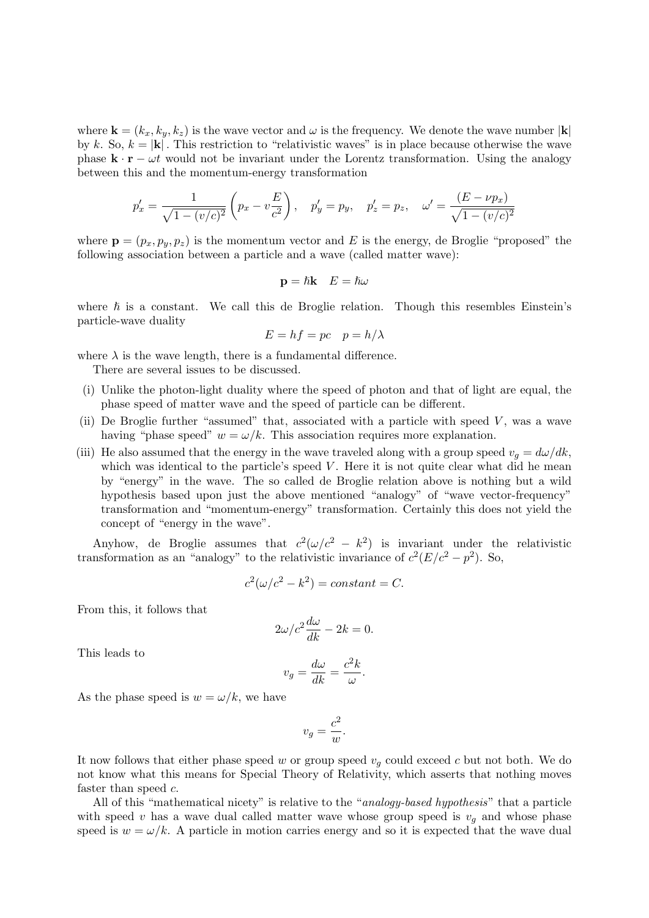where  $\mathbf{k} = (k_x, k_y, k_z)$  is the wave vector and  $\omega$  is the frequency. We denote the wave number  $|\mathbf{k}|$ by k. So,  $k = |\mathbf{k}|$ . This restriction to "relativistic waves" is in place because otherwise the wave phase  $\mathbf{k} \cdot \mathbf{r} - \omega t$  would not be invariant under the Lorentz transformation. Using the analogy between this and the momentum-energy transformation

$$
p'_x = \frac{1}{\sqrt{1 - (v/c)^2}} \left( p_x - v\frac{E}{c^2} \right), \quad p'_y = p_y, \quad p'_z = p_z, \quad \omega' = \frac{(E - \nu p_x)}{\sqrt{1 - (v/c)^2}}
$$

where  $\mathbf{p} = (p_x, p_y, p_z)$  is the momentum vector and E is the energy, de Broglie "proposed" the following association between a particle and a wave (called matter wave):

$$
\mathbf{p} = \hbar \mathbf{k} \quad E = \hbar \omega
$$

where  $\hbar$  is a constant. We call this de Broglie relation. Though this resembles Einstein's particle-wave duality

$$
E = hf = pc \quad p = h/\lambda
$$

where  $\lambda$  is the wave length, there is a fundamental difference.

There are several issues to be discussed.

- (i) Unlike the photon-light duality where the speed of photon and that of light are equal, the phase speed of matter wave and the speed of particle can be different.
- (ii) De Broglie further "assumed" that, associated with a particle with speed  $V$ , was a wave having "phase speed"  $w = \omega/k$ . This association requires more explanation.
- (iii) He also assumed that the energy in the wave traveled along with a group speed  $v_q = d\omega/dk$ , which was identical to the particle's speed  $V$ . Here it is not quite clear what did he mean by "energy" in the wave. The so called de Broglie relation above is nothing but a wild hypothesis based upon just the above mentioned "analogy" of "wave vector-frequency" transformation and "momentum-energy" transformation. Certainly this does not yield the concept of "energy in the wave".

Anyhow, de Broglie assumes that  $c^2(\omega/c^2 - k^2)$  is invariant under the relativistic transformation as an "analogy" to the relativistic invariance of  $c^2(E/c^2 - p^2)$ . So,

$$
c^2(\omega/c^2 - k^2) = constant = C.
$$

From this, it follows that

$$
2\omega/c^2 \frac{d\omega}{dk} - 2k = 0.
$$

This leads to

$$
v_g = \frac{d\omega}{dk} = \frac{c^2k}{\omega}.
$$

As the phase speed is  $w = \omega/k$ , we have

$$
v_g = \frac{c^2}{w}.
$$

It now follows that either phase speed w or group speed  $v<sub>g</sub>$  could exceed c but not both. We do not know what this means for Special Theory of Relativity, which asserts that nothing moves faster than speed c.

All of this "mathematical nicety" is relative to the "*analogy-based hypothesis*" that a particle with speed v has a wave dual called matter wave whose group speed is  $v<sub>q</sub>$  and whose phase speed is  $w = \omega/k$ . A particle in motion carries energy and so it is expected that the wave dual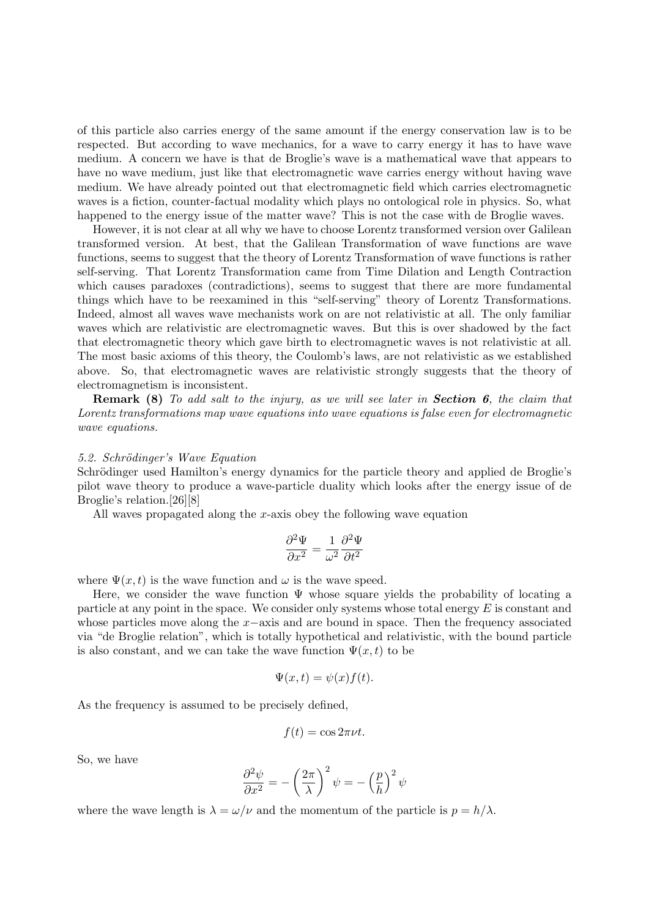of this particle also carries energy of the same amount if the energy conservation law is to be respected. But according to wave mechanics, for a wave to carry energy it has to have wave medium. A concern we have is that de Broglie's wave is a mathematical wave that appears to have no wave medium, just like that electromagnetic wave carries energy without having wave medium. We have already pointed out that electromagnetic field which carries electromagnetic waves is a fiction, counter-factual modality which plays no ontological role in physics. So, what happened to the energy issue of the matter wave? This is not the case with de Broglie waves.

However, it is not clear at all why we have to choose Lorentz transformed version over Galilean transformed version. At best, that the Galilean Transformation of wave functions are wave functions, seems to suggest that the theory of Lorentz Transformation of wave functions is rather self-serving. That Lorentz Transformation came from Time Dilation and Length Contraction which causes paradoxes (contradictions), seems to suggest that there are more fundamental things which have to be reexamined in this "self-serving" theory of Lorentz Transformations. Indeed, almost all waves wave mechanists work on are not relativistic at all. The only familiar waves which are relativistic are electromagnetic waves. But this is over shadowed by the fact that electromagnetic theory which gave birth to electromagnetic waves is not relativistic at all. The most basic axioms of this theory, the Coulomb's laws, are not relativistic as we established above. So, that electromagnetic waves are relativistic strongly suggests that the theory of electromagnetism is inconsistent.

**Remark (8)** To add salt to the injury, as we will see later in **Section 6**, the claim that Lorentz transformations map wave equations into wave equations is false even for electromagnetic wave equations.

#### 5.2. Schrödinger's Wave Equation

Schrödinger used Hamilton's energy dynamics for the particle theory and applied de Broglie's pilot wave theory to produce a wave-particle duality which looks after the energy issue of de Broglie's relation.[26][8]

All waves propagated along the x-axis obey the following wave equation

$$
\frac{\partial^2 \Psi}{\partial x^2} = \frac{1}{\omega^2} \frac{\partial^2 \Psi}{\partial t^2}
$$

where  $\Psi(x, t)$  is the wave function and  $\omega$  is the wave speed.

Here, we consider the wave function  $\Psi$  whose square yields the probability of locating a particle at any point in the space. We consider only systems whose total energy  $E$  is constant and whose particles move along the  $x$ −axis and are bound in space. Then the frequency associated via "de Broglie relation", which is totally hypothetical and relativistic, with the bound particle is also constant, and we can take the wave function  $\Psi(x, t)$  to be

$$
\Psi(x,t) = \psi(x)f(t).
$$

As the frequency is assumed to be precisely defined,

$$
f(t) = \cos 2\pi \nu t.
$$

So, we have

$$
\frac{\partial^2 \psi}{\partial x^2} = -\left(\frac{2\pi}{\lambda}\right)^2 \psi = -\left(\frac{p}{h}\right)^2 \psi
$$

where the wave length is  $\lambda = \omega/\nu$  and the momentum of the particle is  $p = h/\lambda$ .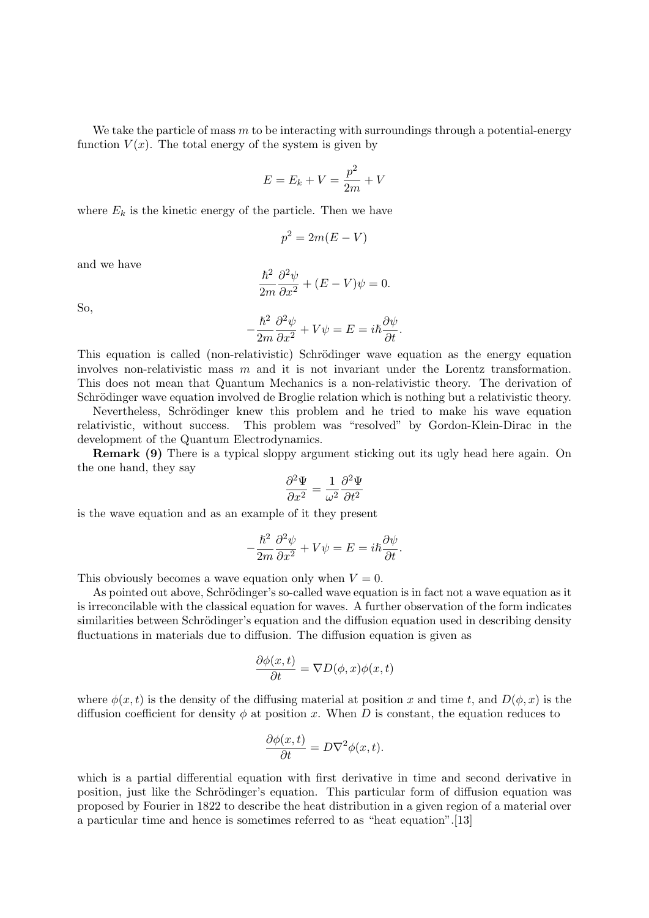We take the particle of mass m to be interacting with surroundings through a potential-energy function  $V(x)$ . The total energy of the system is given by

$$
E = E_k + V = \frac{p^2}{2m} + V
$$

where  $E_k$  is the kinetic energy of the particle. Then we have

$$
p^2 = 2m(E - V)
$$

and we have

$$
\frac{\hbar^2}{2m}\frac{\partial^2\psi}{\partial x^2} + (E - V)\psi = 0.
$$

So,

$$
-\frac{\hbar^2}{2m}\frac{\partial^2\psi}{\partial x^2} + V\psi = E = i\hbar\frac{\partial\psi}{\partial t}.
$$

This equation is called (non-relativistic) Schrödinger wave equation as the energy equation involves non-relativistic mass m and it is not invariant under the Lorentz transformation. This does not mean that Quantum Mechanics is a non-relativistic theory. The derivation of Schrödinger wave equation involved de Broglie relation which is nothing but a relativistic theory.

Nevertheless, Schrödinger knew this problem and he tried to make his wave equation relativistic, without success. This problem was "resolved" by Gordon-Klein-Dirac in the development of the Quantum Electrodynamics.

Remark (9) There is a typical sloppy argument sticking out its ugly head here again. On the one hand, they say

$$
\frac{\partial^2 \Psi}{\partial x^2} = \frac{1}{\omega^2} \frac{\partial^2 \Psi}{\partial t^2}
$$

is the wave equation and as an example of it they present

$$
-\frac{\hbar^2}{2m}\frac{\partial^2\psi}{\partial x^2} + V\psi = E = i\hbar\frac{\partial\psi}{\partial t}.
$$

This obviously becomes a wave equation only when  $V = 0$ .

As pointed out above, Schrödinger's so-called wave equation is in fact not a wave equation as it is irreconcilable with the classical equation for waves. A further observation of the form indicates similarities between Schrödinger's equation and the diffusion equation used in describing density fluctuations in materials due to diffusion. The diffusion equation is given as

$$
\frac{\partial \phi(x,t)}{\partial t} = \nabla D(\phi, x)\phi(x,t)
$$

where  $\phi(x, t)$  is the density of the diffusing material at position x and time t, and  $D(\phi, x)$  is the diffusion coefficient for density  $\phi$  at position x. When D is constant, the equation reduces to

$$
\frac{\partial \phi(x,t)}{\partial t} = D\nabla^2 \phi(x,t).
$$

which is a partial differential equation with first derivative in time and second derivative in position, just like the Schrödinger's equation. This particular form of diffusion equation was proposed by Fourier in 1822 to describe the heat distribution in a given region of a material over a particular time and hence is sometimes referred to as "heat equation".[13]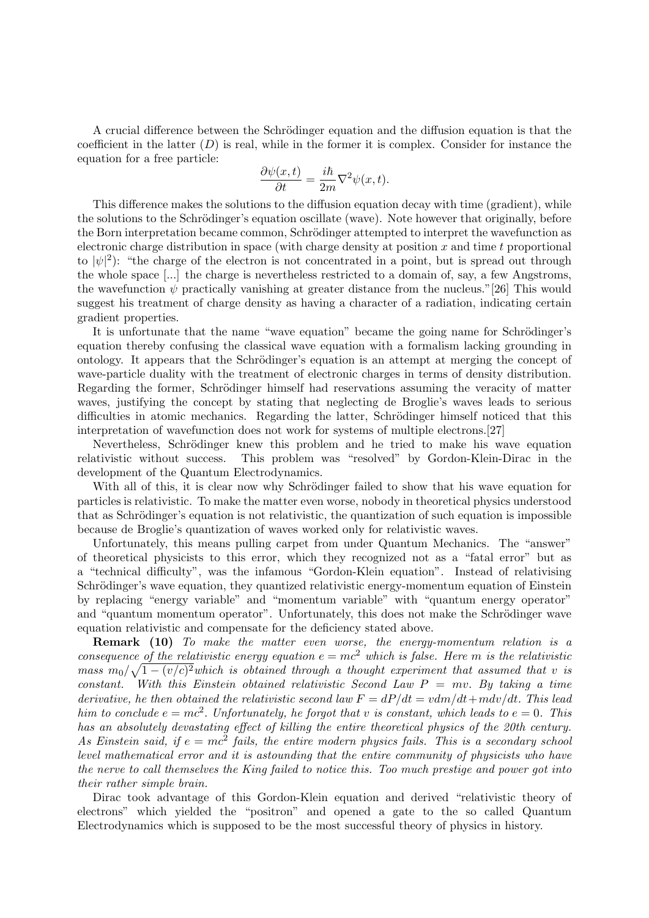A crucial difference between the Schrödinger equation and the diffusion equation is that the coefficient in the latter  $(D)$  is real, while in the former it is complex. Consider for instance the equation for a free particle:

$$
\frac{\partial \psi(x,t)}{\partial t} = \frac{i\hbar}{2m} \nabla^2 \psi(x,t).
$$

This difference makes the solutions to the diffusion equation decay with time (gradient), while the solutions to the Schrödinger's equation oscillate (wave). Note however that originally, before the Born interpretation became common, Schrödinger attempted to interpret the wavefunction as electronic charge distribution in space (with charge density at position  $x$  and time t proportional to  $|\psi|^2$ : "the charge of the electron is not concentrated in a point, but is spread out through the whole space [...] the charge is nevertheless restricted to a domain of, say, a few Angstroms, the wavefunction  $\psi$  practically vanishing at greater distance from the nucleus."[26] This would suggest his treatment of charge density as having a character of a radiation, indicating certain gradient properties.

It is unfortunate that the name "wave equation" became the going name for Schrödinger's equation thereby confusing the classical wave equation with a formalism lacking grounding in ontology. It appears that the Schrödinger's equation is an attempt at merging the concept of wave-particle duality with the treatment of electronic charges in terms of density distribution. Regarding the former, Schrödinger himself had reservations assuming the veracity of matter waves, justifying the concept by stating that neglecting de Broglie's waves leads to serious difficulties in atomic mechanics. Regarding the latter, Schrödinger himself noticed that this interpretation of wavefunction does not work for systems of multiple electrons.[27]

Nevertheless, Schrödinger knew this problem and he tried to make his wave equation relativistic without success. This problem was "resolved" by Gordon-Klein-Dirac in the development of the Quantum Electrodynamics.

With all of this, it is clear now why Schrödinger failed to show that his wave equation for particles is relativistic. To make the matter even worse, nobody in theoretical physics understood that as Schrödinger's equation is not relativistic, the quantization of such equation is impossible because de Broglie's quantization of waves worked only for relativistic waves.

Unfortunately, this means pulling carpet from under Quantum Mechanics. The "answer" of theoretical physicists to this error, which they recognized not as a "fatal error" but as a "technical difficulty", was the infamous "Gordon-Klein equation". Instead of relativising Schrödinger's wave equation, they quantized relativistic energy-momentum equation of Einstein by replacing "energy variable" and "momentum variable" with "quantum energy operator" and "quantum momentum operator". Unfortunately, this does not make the Schrödinger wave equation relativistic and compensate for the deficiency stated above.

Remark (10) To make the matter even worse, the energy-momentum relation is a consequence of the relativistic energy equation  $e = mc^2$  which is false. Here m is the relativistic mass  $m_0/\sqrt{1-(v/c)^2}$  which is obtained through a thought experiment that assumed that v is constant. With this Einstein obtained relativistic Second Law  $P = mv$ . By taking a time derivative, he then obtained the relativistic second law  $F = dP/dt = vdm/dt + m dv/dt$ . This lead him to conclude  $e = mc^2$ . Unfortunately, he forgot that v is constant, which leads to  $e = 0$ . This has an absolutely devastating effect of killing the entire theoretical physics of the 20th century. As Einstein said, if  $e = mc^2$  fails, the entire modern physics fails. This is a secondary school level mathematical error and it is astounding that the entire community of physicists who have the nerve to call themselves the King failed to notice this. Too much prestige and power got into their rather simple brain.

Dirac took advantage of this Gordon-Klein equation and derived "relativistic theory of electrons" which yielded the "positron" and opened a gate to the so called Quantum Electrodynamics which is supposed to be the most successful theory of physics in history.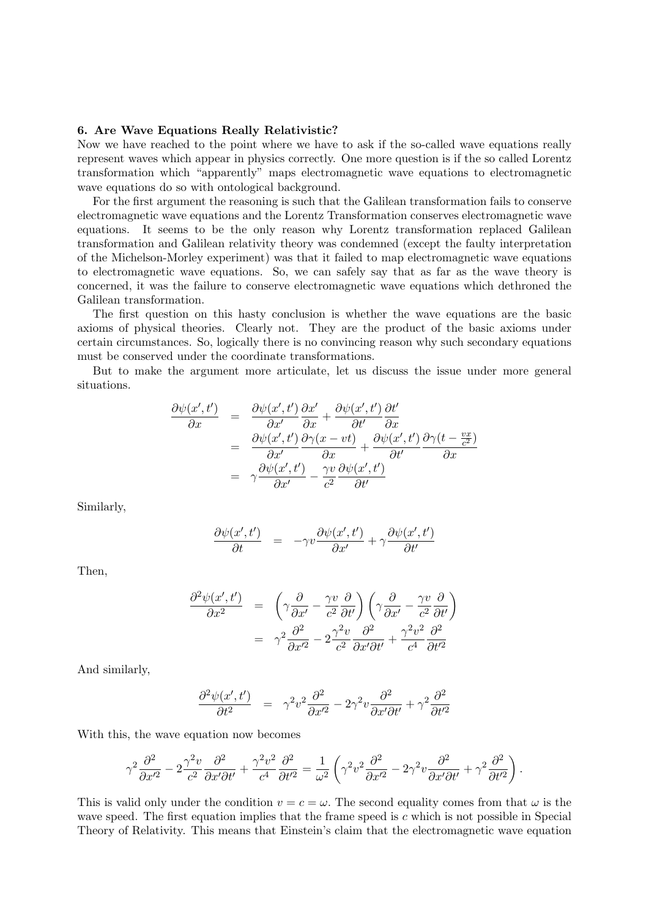## 6. Are Wave Equations Really Relativistic?

Now we have reached to the point where we have to ask if the so-called wave equations really represent waves which appear in physics correctly. One more question is if the so called Lorentz transformation which "apparently" maps electromagnetic wave equations to electromagnetic wave equations do so with ontological background.

For the first argument the reasoning is such that the Galilean transformation fails to conserve electromagnetic wave equations and the Lorentz Transformation conserves electromagnetic wave equations. It seems to be the only reason why Lorentz transformation replaced Galilean transformation and Galilean relativity theory was condemned (except the faulty interpretation of the Michelson-Morley experiment) was that it failed to map electromagnetic wave equations to electromagnetic wave equations. So, we can safely say that as far as the wave theory is concerned, it was the failure to conserve electromagnetic wave equations which dethroned the Galilean transformation.

The first question on this hasty conclusion is whether the wave equations are the basic axioms of physical theories. Clearly not. They are the product of the basic axioms under certain circumstances. So, logically there is no convincing reason why such secondary equations must be conserved under the coordinate transformations.

But to make the argument more articulate, let us discuss the issue under more general situations.

$$
\frac{\partial \psi(x',t')}{\partial x} = \frac{\partial \psi(x',t')}{\partial x'} \frac{\partial x'}{\partial x} + \frac{\partial \psi(x',t')}{\partial t'} \frac{\partial t'}{\partial x}
$$
\n
$$
= \frac{\partial \psi(x',t')}{\partial x'} \frac{\partial \gamma(x-vt)}{\partial x} + \frac{\partial \psi(x',t')}{\partial t'} \frac{\partial \gamma(t-\frac{vx}{c^2})}{\partial x}
$$
\n
$$
= \gamma \frac{\partial \psi(x',t')}{\partial x'} - \frac{\gamma v}{c^2} \frac{\partial \psi(x',t')}{\partial t'}
$$

Similarly,

$$
\frac{\partial \psi(x',t')}{\partial t} = -\gamma v \frac{\partial \psi(x',t')}{\partial x'} + \gamma \frac{\partial \psi(x',t')}{\partial t'}
$$

Then,

$$
\frac{\partial^2 \psi(x',t')}{\partial x^2} = \left(\gamma \frac{\partial}{\partial x'} - \frac{\gamma v}{c^2} \frac{\partial}{\partial t'}\right) \left(\gamma \frac{\partial}{\partial x'} - \frac{\gamma v}{c^2} \frac{\partial}{\partial t'}\right)
$$

$$
= \gamma^2 \frac{\partial^2}{\partial x'^2} - 2 \frac{\gamma^2 v}{c^2} \frac{\partial^2}{\partial x' \partial t'} + \frac{\gamma^2 v^2}{c^4} \frac{\partial^2}{\partial t'^2}
$$

And similarly,

$$
\frac{\partial^2 \psi(x',t')}{\partial t^2} = \gamma^2 v^2 \frac{\partial^2}{\partial x'^2} - 2\gamma^2 v \frac{\partial^2}{\partial x' \partial t'} + \gamma^2 \frac{\partial^2}{\partial t'^2}
$$

With this, the wave equation now becomes

$$
\gamma^2 \frac{\partial^2}{\partial x'^2} - 2 \frac{\gamma^2 v}{c^2} \frac{\partial^2}{\partial x' \partial t'} + \frac{\gamma^2 v^2}{c^4} \frac{\partial^2}{\partial t'^2} = \frac{1}{\omega^2} \left( \gamma^2 v^2 \frac{\partial^2}{\partial x'^2} - 2 \gamma^2 v \frac{\partial^2}{\partial x' \partial t'} + \gamma^2 \frac{\partial^2}{\partial t'^2} \right).
$$

This is valid only under the condition  $v = c = \omega$ . The second equality comes from that  $\omega$  is the wave speed. The first equation implies that the frame speed is  $c$  which is not possible in Special Theory of Relativity. This means that Einstein's claim that the electromagnetic wave equation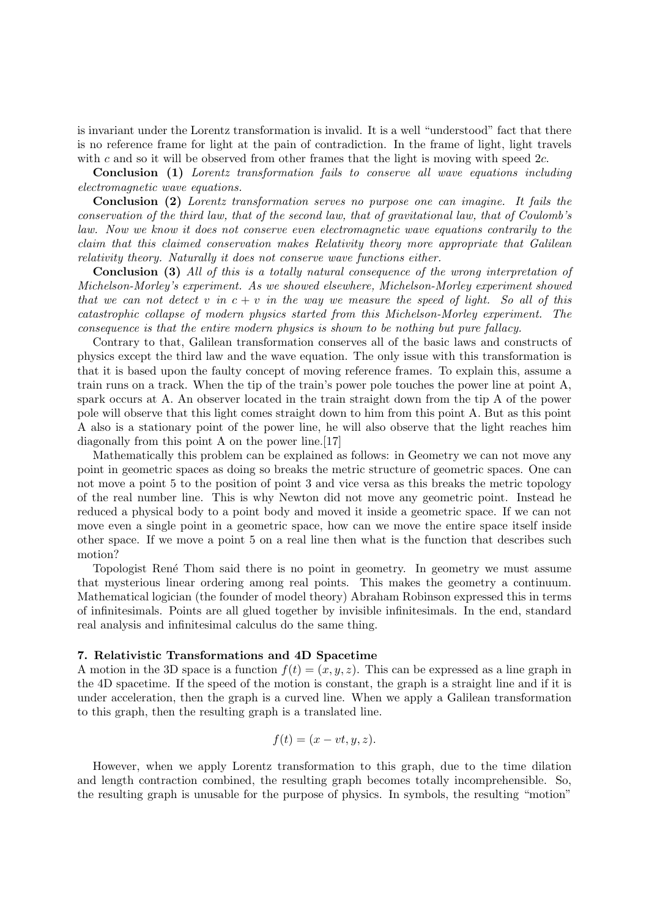is invariant under the Lorentz transformation is invalid. It is a well "understood" fact that there is no reference frame for light at the pain of contradiction. In the frame of light, light travels with c and so it will be observed from other frames that the light is moving with speed  $2c$ .

Conclusion (1) Lorentz transformation fails to conserve all wave equations including electromagnetic wave equations.

Conclusion (2) Lorentz transformation serves no purpose one can imagine. It fails the conservation of the third law, that of the second law, that of gravitational law, that of Coulomb's law. Now we know it does not conserve even electromagnetic wave equations contrarily to the claim that this claimed conservation makes Relativity theory more appropriate that Galilean relativity theory. Naturally it does not conserve wave functions either.

Conclusion (3) All of this is a totally natural consequence of the wrong interpretation of Michelson-Morley's experiment. As we showed elsewhere, Michelson-Morley experiment showed that we can not detect v in  $c + v$  in the way we measure the speed of light. So all of this catastrophic collapse of modern physics started from this Michelson-Morley experiment. The consequence is that the entire modern physics is shown to be nothing but pure fallacy.

Contrary to that, Galilean transformation conserves all of the basic laws and constructs of physics except the third law and the wave equation. The only issue with this transformation is that it is based upon the faulty concept of moving reference frames. To explain this, assume a train runs on a track. When the tip of the train's power pole touches the power line at point A, spark occurs at A. An observer located in the train straight down from the tip A of the power pole will observe that this light comes straight down to him from this point A. But as this point A also is a stationary point of the power line, he will also observe that the light reaches him diagonally from this point A on the power line.[17]

Mathematically this problem can be explained as follows: in Geometry we can not move any point in geometric spaces as doing so breaks the metric structure of geometric spaces. One can not move a point 5 to the position of point 3 and vice versa as this breaks the metric topology of the real number line. This is why Newton did not move any geometric point. Instead he reduced a physical body to a point body and moved it inside a geometric space. If we can not move even a single point in a geometric space, how can we move the entire space itself inside other space. If we move a point 5 on a real line then what is the function that describes such motion?

Topologist Ren´e Thom said there is no point in geometry. In geometry we must assume that mysterious linear ordering among real points. This makes the geometry a continuum. Mathematical logician (the founder of model theory) Abraham Robinson expressed this in terms of infinitesimals. Points are all glued together by invisible infinitesimals. In the end, standard real analysis and infinitesimal calculus do the same thing.

#### 7. Relativistic Transformations and 4D Spacetime

A motion in the 3D space is a function  $f(t) = (x, y, z)$ . This can be expressed as a line graph in the 4D spacetime. If the speed of the motion is constant, the graph is a straight line and if it is under acceleration, then the graph is a curved line. When we apply a Galilean transformation to this graph, then the resulting graph is a translated line.

$$
f(t) = (x - vt, y, z).
$$

However, when we apply Lorentz transformation to this graph, due to the time dilation and length contraction combined, the resulting graph becomes totally incomprehensible. So, the resulting graph is unusable for the purpose of physics. In symbols, the resulting "motion"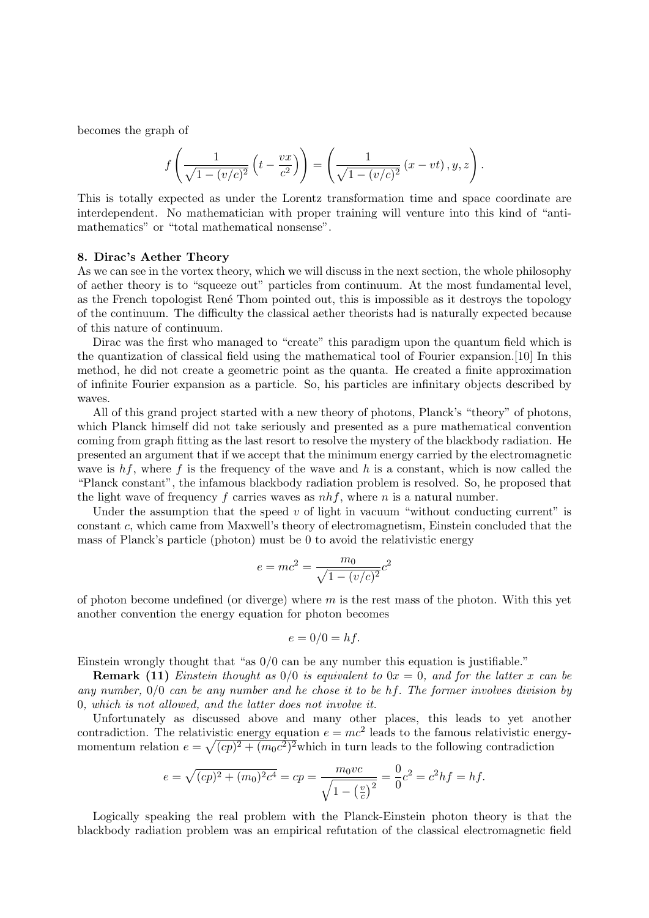becomes the graph of

$$
f\left(\frac{1}{\sqrt{1-(v/c)^2}}\left(t-\frac{vx}{c^2}\right)\right)=\left(\frac{1}{\sqrt{1-(v/c)^2}}\left(x-vt\right),y,z\right).
$$

This is totally expected as under the Lorentz transformation time and space coordinate are interdependent. No mathematician with proper training will venture into this kind of "antimathematics" or "total mathematical nonsense".

#### 8. Dirac's Aether Theory

As we can see in the vortex theory, which we will discuss in the next section, the whole philosophy of aether theory is to "squeeze out" particles from continuum. At the most fundamental level, as the French topologist René Thom pointed out, this is impossible as it destroys the topology of the continuum. The difficulty the classical aether theorists had is naturally expected because of this nature of continuum.

Dirac was the first who managed to "create" this paradigm upon the quantum field which is the quantization of classical field using the mathematical tool of Fourier expansion.[10] In this method, he did not create a geometric point as the quanta. He created a finite approximation of infinite Fourier expansion as a particle. So, his particles are infinitary objects described by waves.

All of this grand project started with a new theory of photons, Planck's "theory" of photons, which Planck himself did not take seriously and presented as a pure mathematical convention coming from graph fitting as the last resort to resolve the mystery of the blackbody radiation. He presented an argument that if we accept that the minimum energy carried by the electromagnetic wave is  $hf$ , where f is the frequency of the wave and h is a constant, which is now called the "Planck constant", the infamous blackbody radiation problem is resolved. So, he proposed that the light wave of frequency f carries waves as  $nhf$ , where n is a natural number.

Under the assumption that the speed  $v$  of light in vacuum "without conducting current" is constant c, which came from Maxwell's theory of electromagnetism, Einstein concluded that the mass of Planck's particle (photon) must be 0 to avoid the relativistic energy

$$
e = mc^2 = \frac{m_0}{\sqrt{1 - (v/c)^2}}c^2
$$

of photon become undefined (or diverge) where  $m$  is the rest mass of the photon. With this yet another convention the energy equation for photon becomes

$$
e = 0/0 = hf.
$$

Einstein wrongly thought that "as 0/0 can be any number this equation is justifiable."

**Remark (11)** Einstein thought as  $0/0$  is equivalent to  $0x = 0$ , and for the latter x can be any number, 0/0 can be any number and he chose it to be hf. The former involves division by 0, which is not allowed, and the latter does not involve it.

Unfortunately as discussed above and many other places, this leads to yet another contradiction. The relativistic energy equation  $e = mc^2$  leads to the famous relativistic energymomentum relation  $e = \sqrt{(cp)^2 + (m_0c^2)^2}$  which in turn leads to the following contradiction

$$
e = \sqrt{(cp)^2 + (m_0)^2 c^4} = cp = \frac{m_0 vc}{\sqrt{1 - \left(\frac{v}{c}\right)^2}} = \frac{0}{0}c^2 = c^2 hf = hf.
$$

Logically speaking the real problem with the Planck-Einstein photon theory is that the blackbody radiation problem was an empirical refutation of the classical electromagnetic field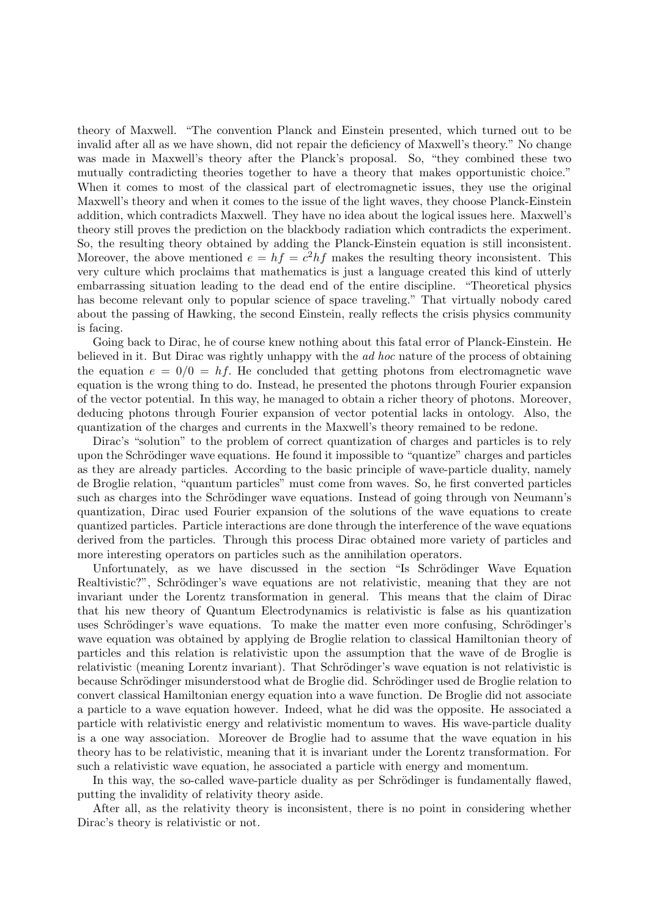theory of Maxwell. "The convention Planck and Einstein presented, which turned out to be invalid after all as we have shown, did not repair the deficiency of Maxwell's theory." No change was made in Maxwell's theory after the Planck's proposal. So, "they combined these two mutually contradicting theories together to have a theory that makes opportunistic choice." When it comes to most of the classical part of electromagnetic issues, they use the original Maxwell's theory and when it comes to the issue of the light waves, they choose Planck-Einstein addition, which contradicts Maxwell. They have no idea about the logical issues here. Maxwell's theory still proves the prediction on the blackbody radiation which contradicts the experiment. So, the resulting theory obtained by adding the Planck-Einstein equation is still inconsistent. Moreover, the above mentioned  $e = hf = c^2hf$  makes the resulting theory inconsistent. This very culture which proclaims that mathematics is just a language created this kind of utterly embarrassing situation leading to the dead end of the entire discipline. "Theoretical physics has become relevant only to popular science of space traveling." That virtually nobody cared about the passing of Hawking, the second Einstein, really reflects the crisis physics community is facing.

Going back to Dirac, he of course knew nothing about this fatal error of Planck-Einstein. He believed in it. But Dirac was rightly unhappy with the ad hoc nature of the process of obtaining the equation  $e = 0/0 = hf$ . He concluded that getting photons from electromagnetic wave equation is the wrong thing to do. Instead, he presented the photons through Fourier expansion of the vector potential. In this way, he managed to obtain a richer theory of photons. Moreover, deducing photons through Fourier expansion of vector potential lacks in ontology. Also, the quantization of the charges and currents in the Maxwell's theory remained to be redone.

Dirac's "solution" to the problem of correct quantization of charges and particles is to rely upon the Schrödinger wave equations. He found it impossible to "quantize" charges and particles as they are already particles. According to the basic principle of wave-particle duality, namely de Broglie relation, "quantum particles" must come from waves. So, he first converted particles such as charges into the Schrödinger wave equations. Instead of going through von Neumann's quantization, Dirac used Fourier expansion of the solutions of the wave equations to create quantized particles. Particle interactions are done through the interference of the wave equations derived from the particles. Through this process Dirac obtained more variety of particles and more interesting operators on particles such as the annihilation operators.

Unfortunately, as we have discussed in the section "Is Schrödinger Wave Equation" Realtivistic?", Schrödinger's wave equations are not relativistic, meaning that they are not invariant under the Lorentz transformation in general. This means that the claim of Dirac that his new theory of Quantum Electrodynamics is relativistic is false as his quantization uses Schrödinger's wave equations. To make the matter even more confusing, Schrödinger's wave equation was obtained by applying de Broglie relation to classical Hamiltonian theory of particles and this relation is relativistic upon the assumption that the wave of de Broglie is relativistic (meaning Lorentz invariant). That Schrödinger's wave equation is not relativistic is because Schrödinger misunderstood what de Broglie did. Schrödinger used de Broglie relation to convert classical Hamiltonian energy equation into a wave function. De Broglie did not associate a particle to a wave equation however. Indeed, what he did was the opposite. He associated a particle with relativistic energy and relativistic momentum to waves. His wave-particle duality is a one way association. Moreover de Broglie had to assume that the wave equation in his theory has to be relativistic, meaning that it is invariant under the Lorentz transformation. For such a relativistic wave equation, he associated a particle with energy and momentum.

In this way, the so-called wave-particle duality as per Schrödinger is fundamentally flawed, putting the invalidity of relativity theory aside.

After all, as the relativity theory is inconsistent, there is no point in considering whether Dirac's theory is relativistic or not.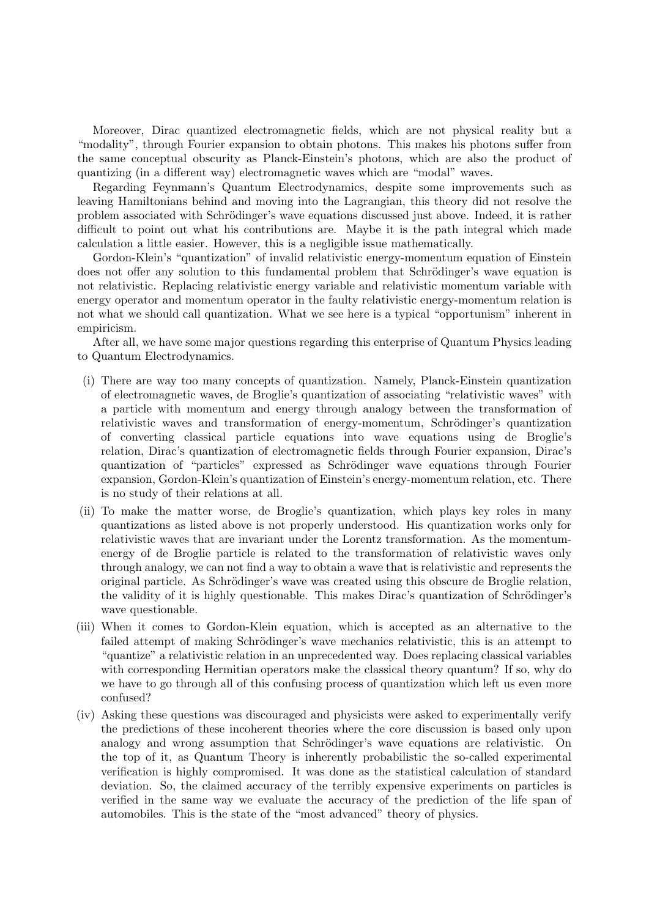Moreover, Dirac quantized electromagnetic fields, which are not physical reality but a "modality", through Fourier expansion to obtain photons. This makes his photons suffer from the same conceptual obscurity as Planck-Einstein's photons, which are also the product of quantizing (in a different way) electromagnetic waves which are "modal" waves.

Regarding Feynmann's Quantum Electrodynamics, despite some improvements such as leaving Hamiltonians behind and moving into the Lagrangian, this theory did not resolve the problem associated with Schrödinger's wave equations discussed just above. Indeed, it is rather difficult to point out what his contributions are. Maybe it is the path integral which made calculation a little easier. However, this is a negligible issue mathematically.

Gordon-Klein's "quantization" of invalid relativistic energy-momentum equation of Einstein does not offer any solution to this fundamental problem that Schrödinger's wave equation is not relativistic. Replacing relativistic energy variable and relativistic momentum variable with energy operator and momentum operator in the faulty relativistic energy-momentum relation is not what we should call quantization. What we see here is a typical "opportunism" inherent in empiricism.

After all, we have some major questions regarding this enterprise of Quantum Physics leading to Quantum Electrodynamics.

- (i) There are way too many concepts of quantization. Namely, Planck-Einstein quantization of electromagnetic waves, de Broglie's quantization of associating "relativistic waves" with a particle with momentum and energy through analogy between the transformation of relativistic waves and transformation of energy-momentum, Schrödinger's quantization of converting classical particle equations into wave equations using de Broglie's relation, Dirac's quantization of electromagnetic fields through Fourier expansion, Dirac's quantization of "particles" expressed as Schrödinger wave equations through Fourier expansion, Gordon-Klein's quantization of Einstein's energy-momentum relation, etc. There is no study of their relations at all.
- (ii) To make the matter worse, de Broglie's quantization, which plays key roles in many quantizations as listed above is not properly understood. His quantization works only for relativistic waves that are invariant under the Lorentz transformation. As the momentumenergy of de Broglie particle is related to the transformation of relativistic waves only through analogy, we can not find a way to obtain a wave that is relativistic and represents the original particle. As Schrödinger's wave was created using this obscure de Broglie relation, the validity of it is highly questionable. This makes Dirac's quantization of Schrödinger's wave questionable.
- (iii) When it comes to Gordon-Klein equation, which is accepted as an alternative to the failed attempt of making Schrödinger's wave mechanics relativistic, this is an attempt to "quantize" a relativistic relation in an unprecedented way. Does replacing classical variables with corresponding Hermitian operators make the classical theory quantum? If so, why do we have to go through all of this confusing process of quantization which left us even more confused?
- (iv) Asking these questions was discouraged and physicists were asked to experimentally verify the predictions of these incoherent theories where the core discussion is based only upon analogy and wrong assumption that Schrödinger's wave equations are relativistic. On the top of it, as Quantum Theory is inherently probabilistic the so-called experimental verification is highly compromised. It was done as the statistical calculation of standard deviation. So, the claimed accuracy of the terribly expensive experiments on particles is verified in the same way we evaluate the accuracy of the prediction of the life span of automobiles. This is the state of the "most advanced" theory of physics.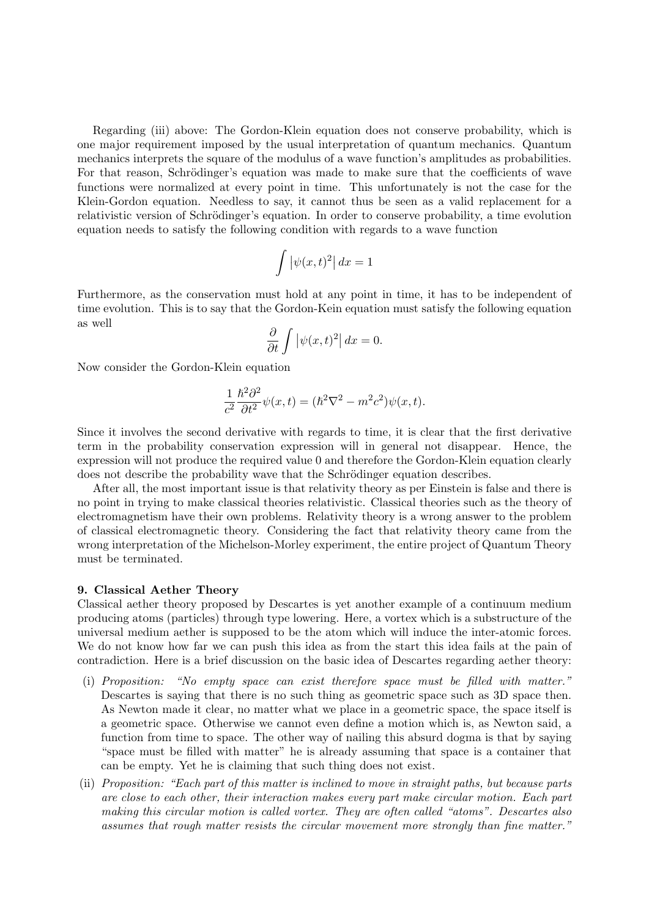Regarding (iii) above: The Gordon-Klein equation does not conserve probability, which is one major requirement imposed by the usual interpretation of quantum mechanics. Quantum mechanics interprets the square of the modulus of a wave function's amplitudes as probabilities. For that reason, Schrödinger's equation was made to make sure that the coefficients of wave functions were normalized at every point in time. This unfortunately is not the case for the Klein-Gordon equation. Needless to say, it cannot thus be seen as a valid replacement for a relativistic version of Schrödinger's equation. In order to conserve probability, a time evolution equation needs to satisfy the following condition with regards to a wave function

$$
\int \left| \psi(x, t)^2 \right| dx = 1
$$

Furthermore, as the conservation must hold at any point in time, it has to be independent of time evolution. This is to say that the Gordon-Kein equation must satisfy the following equation as well

$$
\frac{\partial}{\partial t} \int |\psi(x, t)^2| \, dx = 0.
$$

Now consider the Gordon-Klein equation

$$
\frac{1}{c^2} \frac{\hbar^2 \partial^2}{\partial t^2} \psi(x, t) = (\hbar^2 \nabla^2 - m^2 c^2) \psi(x, t).
$$

Since it involves the second derivative with regards to time, it is clear that the first derivative term in the probability conservation expression will in general not disappear. Hence, the expression will not produce the required value 0 and therefore the Gordon-Klein equation clearly does not describe the probability wave that the Schrödinger equation describes.

After all, the most important issue is that relativity theory as per Einstein is false and there is no point in trying to make classical theories relativistic. Classical theories such as the theory of electromagnetism have their own problems. Relativity theory is a wrong answer to the problem of classical electromagnetic theory. Considering the fact that relativity theory came from the wrong interpretation of the Michelson-Morley experiment, the entire project of Quantum Theory must be terminated.

## 9. Classical Aether Theory

Classical aether theory proposed by Descartes is yet another example of a continuum medium producing atoms (particles) through type lowering. Here, a vortex which is a substructure of the universal medium aether is supposed to be the atom which will induce the inter-atomic forces. We do not know how far we can push this idea as from the start this idea fails at the pain of contradiction. Here is a brief discussion on the basic idea of Descartes regarding aether theory:

- (i) Proposition: "No empty space can exist therefore space must be filled with matter." Descartes is saying that there is no such thing as geometric space such as 3D space then. As Newton made it clear, no matter what we place in a geometric space, the space itself is a geometric space. Otherwise we cannot even define a motion which is, as Newton said, a function from time to space. The other way of nailing this absurd dogma is that by saying "space must be filled with matter" he is already assuming that space is a container that can be empty. Yet he is claiming that such thing does not exist.
- (ii) Proposition: "Each part of this matter is inclined to move in straight paths, but because parts are close to each other, their interaction makes every part make circular motion. Each part making this circular motion is called vortex. They are often called "atoms". Descartes also assumes that rough matter resists the circular movement more strongly than fine matter."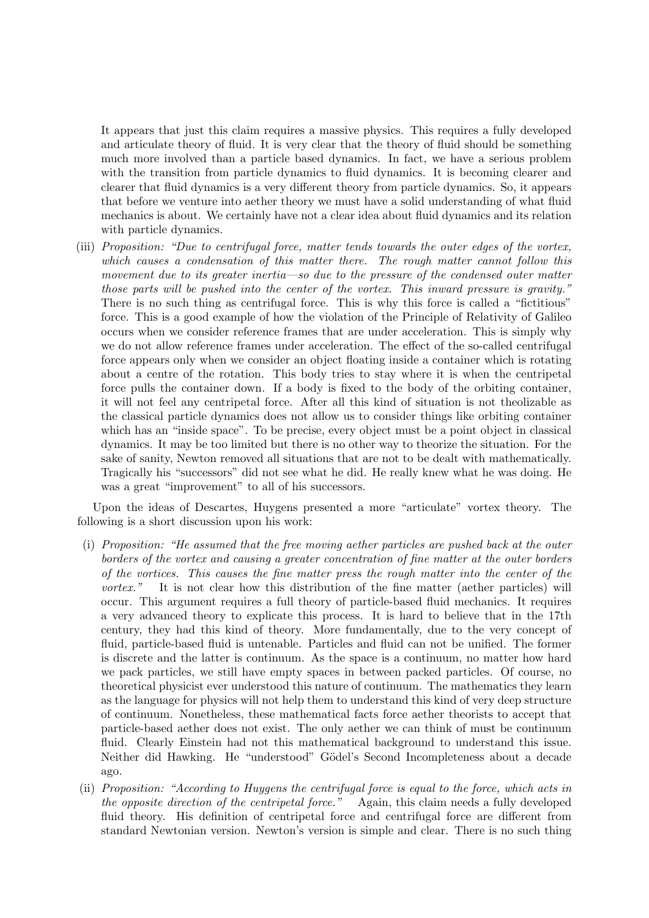It appears that just this claim requires a massive physics. This requires a fully developed and articulate theory of fluid. It is very clear that the theory of fluid should be something much more involved than a particle based dynamics. In fact, we have a serious problem with the transition from particle dynamics to fluid dynamics. It is becoming clearer and clearer that fluid dynamics is a very different theory from particle dynamics. So, it appears that before we venture into aether theory we must have a solid understanding of what fluid mechanics is about. We certainly have not a clear idea about fluid dynamics and its relation with particle dynamics.

(iii) Proposition: "Due to centrifugal force, matter tends towards the outer edges of the vortex, which causes a condensation of this matter there. The rough matter cannot follow this movement due to its greater inertia—so due to the pressure of the condensed outer matter those parts will be pushed into the center of the vortex. This inward pressure is gravity." There is no such thing as centrifugal force. This is why this force is called a "fictitious" force. This is a good example of how the violation of the Principle of Relativity of Galileo occurs when we consider reference frames that are under acceleration. This is simply why we do not allow reference frames under acceleration. The effect of the so-called centrifugal force appears only when we consider an object floating inside a container which is rotating about a centre of the rotation. This body tries to stay where it is when the centripetal force pulls the container down. If a body is fixed to the body of the orbiting container, it will not feel any centripetal force. After all this kind of situation is not theolizable as the classical particle dynamics does not allow us to consider things like orbiting container which has an "inside space". To be precise, every object must be a point object in classical dynamics. It may be too limited but there is no other way to theorize the situation. For the sake of sanity, Newton removed all situations that are not to be dealt with mathematically. Tragically his "successors" did not see what he did. He really knew what he was doing. He was a great "improvement" to all of his successors.

Upon the ideas of Descartes, Huygens presented a more "articulate" vortex theory. The following is a short discussion upon his work:

- (i) Proposition: "He assumed that the free moving aether particles are pushed back at the outer borders of the vortex and causing a greater concentration of fine matter at the outer borders of the vortices. This causes the fine matter press the rough matter into the center of the vortex." It is not clear how this distribution of the fine matter (aether particles) will occur. This argument requires a full theory of particle-based fluid mechanics. It requires a very advanced theory to explicate this process. It is hard to believe that in the 17th century, they had this kind of theory. More fundamentally, due to the very concept of fluid, particle-based fluid is untenable. Particles and fluid can not be unified. The former is discrete and the latter is continuum. As the space is a continuum, no matter how hard we pack particles, we still have empty spaces in between packed particles. Of course, no theoretical physicist ever understood this nature of continuum. The mathematics they learn as the language for physics will not help them to understand this kind of very deep structure of continuum. Nonetheless, these mathematical facts force aether theorists to accept that particle-based aether does not exist. The only aether we can think of must be continuum fluid. Clearly Einstein had not this mathematical background to understand this issue. Neither did Hawking. He "understood" Gödel's Second Incompleteness about a decade ago.
- (ii) Proposition: "According to Huygens the centrifugal force is equal to the force, which acts in the opposite direction of the centripetal force." Again, this claim needs a fully developed fluid theory. His definition of centripetal force and centrifugal force are different from standard Newtonian version. Newton's version is simple and clear. There is no such thing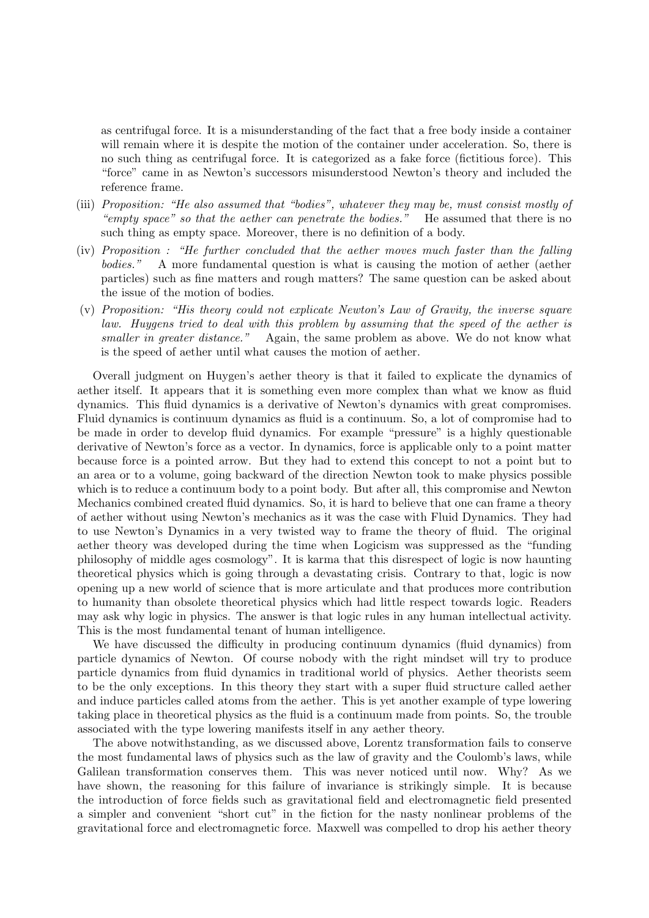as centrifugal force. It is a misunderstanding of the fact that a free body inside a container will remain where it is despite the motion of the container under acceleration. So, there is no such thing as centrifugal force. It is categorized as a fake force (fictitious force). This "force" came in as Newton's successors misunderstood Newton's theory and included the reference frame.

- (iii) Proposition: "He also assumed that "bodies", whatever they may be, must consist mostly of "empty space" so that the aether can penetrate the bodies." He assumed that there is no such thing as empty space. Moreover, there is no definition of a body.
- (iv) Proposition : "He further concluded that the aether moves much faster than the falling bodies." A more fundamental question is what is causing the motion of aether (aether particles) such as fine matters and rough matters? The same question can be asked about the issue of the motion of bodies.
- (v) Proposition: "His theory could not explicate Newton's Law of Gravity, the inverse square law. Huygens tried to deal with this problem by assuming that the speed of the aether is smaller in greater distance." Again, the same problem as above. We do not know what is the speed of aether until what causes the motion of aether.

Overall judgment on Huygen's aether theory is that it failed to explicate the dynamics of aether itself. It appears that it is something even more complex than what we know as fluid dynamics. This fluid dynamics is a derivative of Newton's dynamics with great compromises. Fluid dynamics is continuum dynamics as fluid is a continuum. So, a lot of compromise had to be made in order to develop fluid dynamics. For example "pressure" is a highly questionable derivative of Newton's force as a vector. In dynamics, force is applicable only to a point matter because force is a pointed arrow. But they had to extend this concept to not a point but to an area or to a volume, going backward of the direction Newton took to make physics possible which is to reduce a continuum body to a point body. But after all, this compromise and Newton Mechanics combined created fluid dynamics. So, it is hard to believe that one can frame a theory of aether without using Newton's mechanics as it was the case with Fluid Dynamics. They had to use Newton's Dynamics in a very twisted way to frame the theory of fluid. The original aether theory was developed during the time when Logicism was suppressed as the "funding philosophy of middle ages cosmology". It is karma that this disrespect of logic is now haunting theoretical physics which is going through a devastating crisis. Contrary to that, logic is now opening up a new world of science that is more articulate and that produces more contribution to humanity than obsolete theoretical physics which had little respect towards logic. Readers may ask why logic in physics. The answer is that logic rules in any human intellectual activity. This is the most fundamental tenant of human intelligence.

We have discussed the difficulty in producing continuum dynamics (fluid dynamics) from particle dynamics of Newton. Of course nobody with the right mindset will try to produce particle dynamics from fluid dynamics in traditional world of physics. Aether theorists seem to be the only exceptions. In this theory they start with a super fluid structure called aether and induce particles called atoms from the aether. This is yet another example of type lowering taking place in theoretical physics as the fluid is a continuum made from points. So, the trouble associated with the type lowering manifests itself in any aether theory.

The above notwithstanding, as we discussed above, Lorentz transformation fails to conserve the most fundamental laws of physics such as the law of gravity and the Coulomb's laws, while Galilean transformation conserves them. This was never noticed until now. Why? As we have shown, the reasoning for this failure of invariance is strikingly simple. It is because the introduction of force fields such as gravitational field and electromagnetic field presented a simpler and convenient "short cut" in the fiction for the nasty nonlinear problems of the gravitational force and electromagnetic force. Maxwell was compelled to drop his aether theory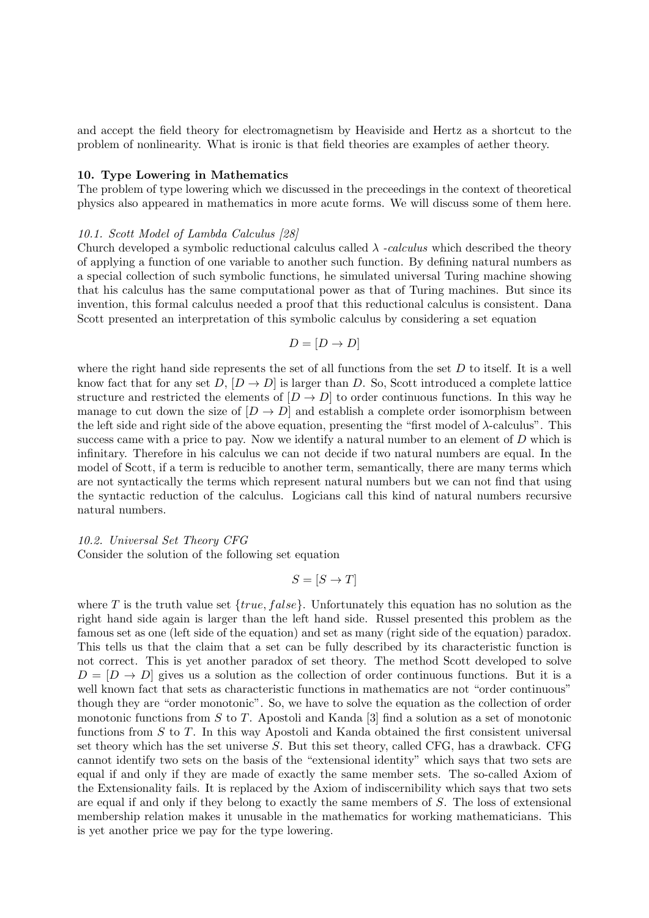and accept the field theory for electromagnetism by Heaviside and Hertz as a shortcut to the problem of nonlinearity. What is ironic is that field theories are examples of aether theory.

# 10. Type Lowering in Mathematics

The problem of type lowering which we discussed in the preceedings in the context of theoretical physics also appeared in mathematics in more acute forms. We will discuss some of them here.

# 10.1. Scott Model of Lambda Calculus [28]

Church developed a symbolic reductional calculus called  $\lambda$  -calculus which described the theory of applying a function of one variable to another such function. By defining natural numbers as a special collection of such symbolic functions, he simulated universal Turing machine showing that his calculus has the same computational power as that of Turing machines. But since its invention, this formal calculus needed a proof that this reductional calculus is consistent. Dana Scott presented an interpretation of this symbolic calculus by considering a set equation

$$
D = [D \to D]
$$

where the right hand side represents the set of all functions from the set  $D$  to itself. It is a well know fact that for any set D,  $[D \to D]$  is larger than D. So, Scott introduced a complete lattice structure and restricted the elements of  $[D \to D]$  to order continuous functions. In this way he manage to cut down the size of  $[D \to D]$  and establish a complete order isomorphism between the left side and right side of the above equation, presenting the "first model of  $\lambda$ -calculus". This success came with a price to pay. Now we identify a natural number to an element of  $D$  which is infinitary. Therefore in his calculus we can not decide if two natural numbers are equal. In the model of Scott, if a term is reducible to another term, semantically, there are many terms which are not syntactically the terms which represent natural numbers but we can not find that using the syntactic reduction of the calculus. Logicians call this kind of natural numbers recursive natural numbers.

# 10.2. Universal Set Theory CFG Consider the solution of the following set equation

$$
S = [S \to T]
$$

where T is the truth value set  $\{true, false\}$ . Unfortunately this equation has no solution as the right hand side again is larger than the left hand side. Russel presented this problem as the famous set as one (left side of the equation) and set as many (right side of the equation) paradox. This tells us that the claim that a set can be fully described by its characteristic function is not correct. This is yet another paradox of set theory. The method Scott developed to solve  $D = [D \to D]$  gives us a solution as the collection of order continuous functions. But it is a well known fact that sets as characteristic functions in mathematics are not "order continuous" though they are "order monotonic". So, we have to solve the equation as the collection of order monotonic functions from S to T. Apostoli and Kanda  $\vert 3 \vert$  find a solution as a set of monotonic functions from  $S$  to  $T$ . In this way Apostoli and Kanda obtained the first consistent universal set theory which has the set universe  $S$ . But this set theory, called CFG, has a drawback. CFG cannot identify two sets on the basis of the "extensional identity" which says that two sets are equal if and only if they are made of exactly the same member sets. The so-called Axiom of the Extensionality fails. It is replaced by the Axiom of indiscernibility which says that two sets are equal if and only if they belong to exactly the same members of S. The loss of extensional membership relation makes it unusable in the mathematics for working mathematicians. This is yet another price we pay for the type lowering.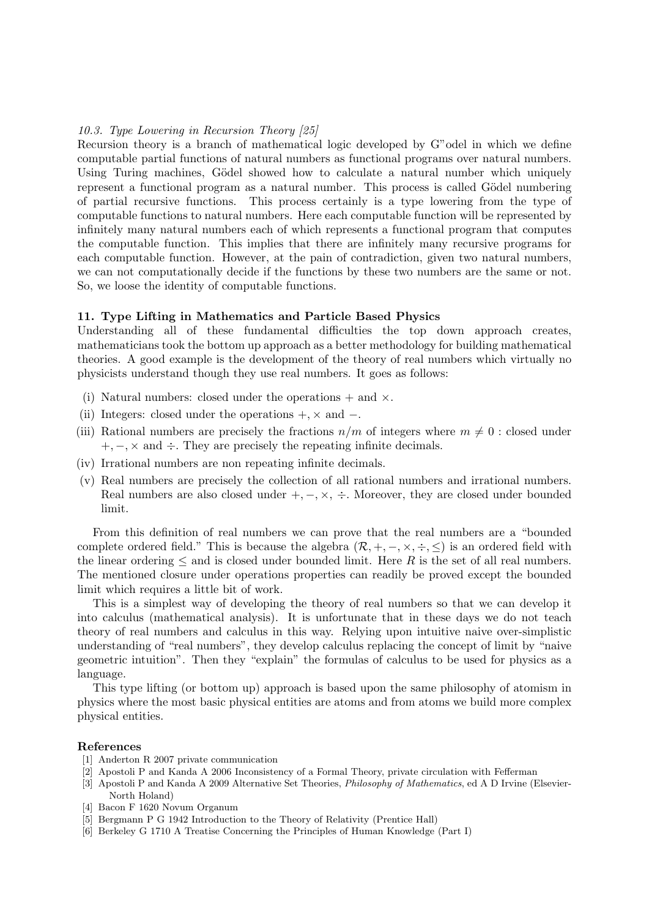## 10.3. Type Lowering in Recursion Theory [25]

Recursion theory is a branch of mathematical logic developed by G"odel in which we define computable partial functions of natural numbers as functional programs over natural numbers. Using Turing machines, Gödel showed how to calculate a natural number which uniquely represent a functional program as a natural number. This process is called Gödel numbering of partial recursive functions. This process certainly is a type lowering from the type of computable functions to natural numbers. Here each computable function will be represented by infinitely many natural numbers each of which represents a functional program that computes the computable function. This implies that there are infinitely many recursive programs for each computable function. However, at the pain of contradiction, given two natural numbers, we can not computationally decide if the functions by these two numbers are the same or not. So, we loose the identity of computable functions.

## 11. Type Lifting in Mathematics and Particle Based Physics

Understanding all of these fundamental difficulties the top down approach creates, mathematicians took the bottom up approach as a better methodology for building mathematical theories. A good example is the development of the theory of real numbers which virtually no physicists understand though they use real numbers. It goes as follows:

- (i) Natural numbers: closed under the operations  $+$  and  $\times$ .
- (ii) Integers: closed under the operations  $+$ ,  $\times$  and  $-$ .
- (iii) Rational numbers are precisely the fractions  $n/m$  of integers where  $m \neq 0$ : closed under  $+, -$ ,  $\times$  and  $\div$ . They are precisely the repeating infinite decimals.
- (iv) Irrational numbers are non repeating infinite decimals.
- (v) Real numbers are precisely the collection of all rational numbers and irrational numbers. Real numbers are also closed under  $+,-, \times, \div$ . Moreover, they are closed under bounded limit.

From this definition of real numbers we can prove that the real numbers are a "bounded complete ordered field." This is because the algebra  $(\mathcal{R}, +, -, \times, \div, \leq)$  is an ordered field with the linear ordering  $\leq$  and is closed under bounded limit. Here R is the set of all real numbers. The mentioned closure under operations properties can readily be proved except the bounded limit which requires a little bit of work.

This is a simplest way of developing the theory of real numbers so that we can develop it into calculus (mathematical analysis). It is unfortunate that in these days we do not teach theory of real numbers and calculus in this way. Relying upon intuitive naive over-simplistic understanding of "real numbers", they develop calculus replacing the concept of limit by "naive geometric intuition". Then they "explain" the formulas of calculus to be used for physics as a language.

This type lifting (or bottom up) approach is based upon the same philosophy of atomism in physics where the most basic physical entities are atoms and from atoms we build more complex physical entities.

## References

- [1] Anderton R 2007 private communication
- [2] Apostoli P and Kanda A 2006 Inconsistency of a Formal Theory, private circulation with Fefferman
- [3] Apostoli P and Kanda A 2009 Alternative Set Theories, Philosophy of Mathematics, ed A D Irvine (Elsevier-North Holand)
- [4] Bacon F 1620 Novum Organum
- [5] Bergmann P G 1942 Introduction to the Theory of Relativity (Prentice Hall)
- [6] Berkeley G 1710 A Treatise Concerning the Principles of Human Knowledge (Part I)